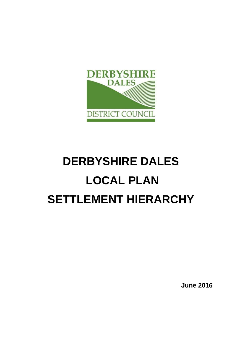

# **DERBYSHIRE DALES LOCAL PLAN SETTLEMENT HIERARCHY**

**June 2016**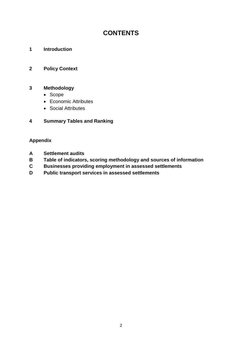# **CONTENTS**

**1 Introduction**

# **2 Policy Context**

## **3 Methodology**

- Scope
- Economic Attributes
- Social Attributes

# **4 Summary Tables and Ranking**

# **Appendix**

- **A Settlement audits**
- **B Table of indicators, scoring methodology and sources of information**
- **C Businesses providing employment in assessed settlements**
- **D Public transport services in assessed settlements**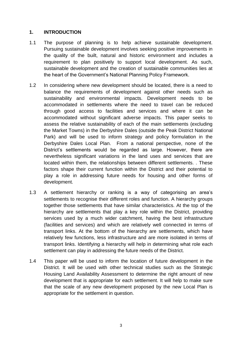## **1. INTRODUCTION**

- 1.1 The purpose of planning is to help achieve sustainable development. Pursuing sustainable development involves seeking positive improvements in the quality of the built, natural and historic environment and includes a requirement to plan positively to support local development. As such, sustainable development and the creation of sustainable communities lies at the heart of the Government's National Planning Policy Framework.
- 1.2 In considering where new development should be located, there is a need to balance the requirements of development against other needs such as sustainability and environmental impacts. Development needs to be accommodated in settlements where the need to travel can be reduced through good access to facilities and services and where it can be accommodated without significant adverse impacts. This paper seeks to assess the relative sustainability of each of the main settlements (excluding the Market Towns) in the Derbyshire Dales (outside the Peak District National Park) and will be used to inform strategy and policy formulation in the Derbyshire Dales Local Plan. From a national perspective, none of the District's settlements would be regarded as large. However, there are nevertheless significant variations in the land uses and services that are located within them, the relationships between different settlements. . These factors shape their current function within the District and their potential to play a role in addressing future needs for housing and other forms of development.
- 1.3 A settlement hierarchy or ranking is a way of categorising an area's settlements to recognise their different roles and function. A hierarchy groups together those settlements that have similar characteristics. At the top of the hierarchy are settlements that play a key role within the District, providing services used by a much wider catchment, having the best infrastructure (facilities and services) and which are relatively well connected in terms of transport links. At the bottom of the hierarchy are settlements, which have relatively few functions, less infrastructure and are more isolated in terms of transport links. Identifying a hierarchy will help in determining what role each settlement can play in addressing the future needs of the District.
- 1.4 This paper will be used to inform the location of future development in the District. It will be used with other technical studies such as the Strategic Housing Land Availability Assessment to determine the right amount of new development that is appropriate for each settlement. It will help to make sure that the scale of any new development proposed by the new Local Plan is appropriate for the settlement in question.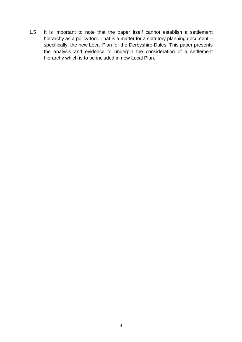1.5 It is important to note that the paper itself cannot establish a settlement hierarchy as a policy tool. That is a matter for a statutory planning document specifically, the new Local Plan for the Derbyshire Dales. This paper presents the analysis and evidence to underpin the consideration of a settlement hierarchy which is to be included in new Local Plan.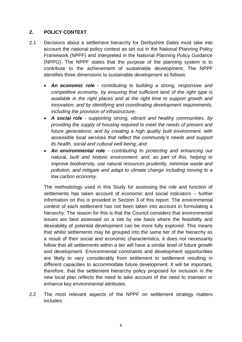## **2. POLICY CONTEXT**

- 2.1 Decisions about a settlement hierarchy for Derbyshire Dales must take into account the national policy context as set out in the National Planning Policy Framework (NPPF) and interpreted in the National Planning Policy Guidance (NPPG). The NPPF states that the purpose of the planning system is to contribute to the achievement of sustainable development. The NPPF identifies three dimensions to sustainable development as follows:
	- *An economic role - contributing to building a strong, responsive and competitive economy, by ensuring that sufficient land of the right type is available in the right places and at the right time to support growth and innovation; and by identifying and coordinating development requirements, including the provision of infrastructure;*
	- *A social role - supporting strong, vibrant and healthy communities, by providing the supply of housing required to meet the needs of present and future generations; and by creating a high quality built environment, with accessible local services that reflect the community's needs and support its health, social and cultural well-being; and*
	- *An environmental role - contributing to protecting and enhancing our natural, built and historic environment; and, as part of this, helping to improve biodiversity, use natural resources prudently, minimise waste and pollution, and mitigate and adapt to climate change including moving to a low carbon economy.*

The methodology used in this Study for assessing the role and function of settlements has taken account of economic and social indicators – further information on this is provided in Section 3 of this report. The environmental context of each settlement has not been taken into account in formulating a hierarchy. The reason for this is that the Council considers that environmental issues are best assessed on a site by site basis where the feasibility and desirability of potential development can be more fully explored. This means that whilst settlements may be grouped into the same tier of the hierarchy as a result of their social and economic characteristics, it does not necessarily follow that all settlements within a tier will have a similar level of future growth and development. Environmental constraints and development opportunities are likely to vary considerably from settlement to settlement resulting in different capacities to accommodate future development. It will be important, therefore, that the settlement hierarchy policy proposed for inclusion in the new local plan reflects the need to take account of the need to maintain or enhance key environmental attributes.

2.2 The most relevant aspects of the NPPF on settlement strategy matters includes: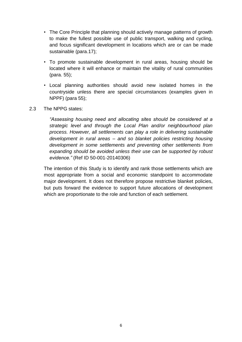- The Core Principle that planning should actively manage patterns of growth to make the fullest possible use of public transport, walking and cycling, and focus significant development in locations which are or can be made sustainable (para.17);
- To promote sustainable development in rural areas, housing should be located where it will enhance or maintain the vitality of rural communities (para. 55);
- Local planning authorities should avoid new isolated homes in the countryside unless there are special circumstances (examples given in NPPF) (para 55);
- 2.3 The NPPG states:

*"Assessing housing need and allocating sites should be considered at a strategic level and through the Local Plan and/or neighbourhood plan process. However, all settlements can play a role in delivering sustainable development in rural areas – and so blanket policies restricting housing development in some settlements and preventing other settlements from expanding should be avoided unless their use can be supported by robust evidence."* (Ref ID 50-001-20140306)

The intention of this Study is to identify and rank those settlements which are most appropriate from a social and economic standpoint to accommodate major development. It does not therefore propose restrictive blanket policies, but puts forward the evidence to support future allocations of development which are proportionate to the role and function of each settlement.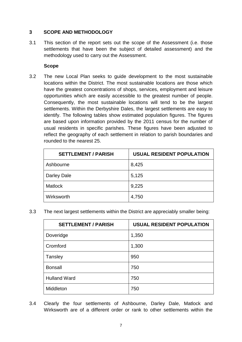# **3 SCOPE AND METHODOLOGY**

3.1 This section of the report sets out the scope of the Assessment (i.e. those settlements that have been the subject of detailed assessment) and the methodology used to carry out the Assessment.

# **Scope**

3.2 The new Local Plan seeks to guide development to the most sustainable locations within the District. The most sustainable locations are those which have the greatest concentrations of shops, services, employment and leisure opportunities which are easily accessible to the greatest number of people. Consequently, the most sustainable locations will tend to be the largest settlements. Within the Derbyshire Dales, the largest settlements are easy to identify. The following tables show estimated population figures. The figures are based upon information provided by the 2011 census for the number of usual residents in specific parishes. These figures have been adjusted to reflect the geography of each settlement in relation to parish boundaries and rounded to the nearest 25.

| <b>SETTLEMENT / PARISH</b> | <b>USUAL RESIDENT POPULATION</b> |
|----------------------------|----------------------------------|
| Ashbourne                  | 8,425                            |
| Darley Dale                | 5,125                            |
| <b>Matlock</b>             | 9,225                            |
| Wirksworth                 | 4,750                            |

3.3 The next largest settlements within the District are appreciably smaller being:

| <b>SETTLEMENT / PARISH</b> | <b>USUAL RESIDENT POPULATION</b> |
|----------------------------|----------------------------------|
| Doveridge                  | 1,350                            |
| Cromford                   | 1,300                            |
| Tansley                    | 950                              |
| <b>Bonsall</b>             | 750                              |
| <b>Hulland Ward</b>        | 750                              |
| Middleton                  | 750                              |

3.4 Clearly the four settlements of Ashbourne, Darley Dale, Matlock and Wirksworth are of a different order or rank to other settlements within the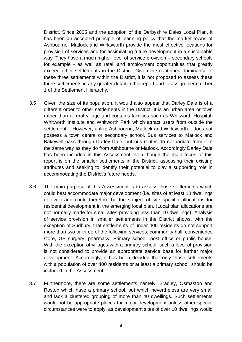District. Since 2005 and the adoption of the Derbyshire Dales Local Plan, it has been an accepted principle of planning policy that the market towns of Ashbourne, Matlock and Wirksworth provide the most effective locations for provision of services and for assimilating future development in a sustainable way. They have a much higher level of service provision – secondary schools for example - as well as retail and employment opportunities that greatly exceed other settlements in the District. Given the continued dominance of these three settlements within the District, it is not proposed to assess these three settlements in any greater detail in this report and to assign them to Tier 1 of the Settlement Hierarchy.

- 3.5 Given the size of its population, it would also appear that Darley Dale is of a different order to other settlements in the District. It is an urban area or town rather than a rural village and contains facilities such as Whitworth Hospital, Whitworth Institute and Whitworth Park which attract users from outside the settlement. However, unlike Ashbourne, Matlock and Wirksworth it does not possess a town centre or secondary school. Bus services to Matlock and Bakewell pass through Darley Dale, but bus routes do not radiate from it in the same way as they do from Ashbourne or Matlock. Accordingly Darley Dale has been included in this Assessment even though the main focus of this report is on the smaller settlements in the District, assessing their existing attributes and seeking to identify their potential to play a supporting role in accommodating the District's future needs.
- 3.6 The main purpose of this Assessment is to assess those settlements which could best accommodate major development (i.e. sites of at least 10 dwellings or over) and could therefore be the subject of site specific allocations for residential development in the emerging local plan. (Local plan allocations are not normally made for small sites providing less than 10 dwellings). Analysis of service provision in smaller settlements in the District shows, with the exception of Sudbury, that settlements of under 400 residents do not support more than two or three of the following services: community hall, convenience store, GP surgery, pharmacy, Primary school, post office or public house. With the exception of villages with a primary school, such a level of provision is not considered to provide an appropriate service base for further major development. Accordingly, it has been decided that only those settlements with a population of over 400 residents or at least a primary school, should be included in the Assessment.
- 3.7 Furthermore, there are some settlements namely, Bradley, Osmaston and Roston which have a primary school, but which nevertheless are very small and lack a clustered grouping of more than 40 dwellings. Such settlements would not be appropriate places for major development unless other special circumstances were to apply, as development sites of over 10 dwellings would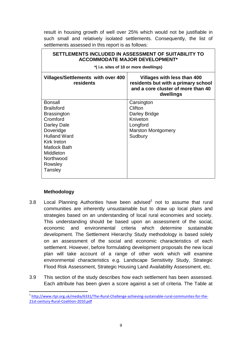result in housing growth of well over 25% which would not be justifiable in such small and relatively isolated settlements. Consequently, the list of settlements assessed in this report is as follows:

| SETTLEMENTS INCLUDED IN ASSESSMENT OF SUITABILITY TO<br><b>ACCOMMODATE MAJOR DEVELOPMENT*</b><br>*(i.e. sites of 10 or more dwellings)                                                                                |                                                                                                                       |  |
|-----------------------------------------------------------------------------------------------------------------------------------------------------------------------------------------------------------------------|-----------------------------------------------------------------------------------------------------------------------|--|
| <b>Villages/Settlements with over 400</b><br>residents                                                                                                                                                                | Villages with less than 400<br>residents but with a primary school<br>and a core cluster of more than 40<br>dwellings |  |
| <b>Bonsall</b><br><b>Brailsford</b><br><b>Brassington</b><br>Cromford<br>Darley Dale<br>Doveridge<br><b>Hulland Ward</b><br><b>Kirk Ireton</b><br><b>Matlock Bath</b><br>Middleton<br>Northwood<br>Rowsley<br>Tansley | Carsington<br>Clifton<br>Darley Bridge<br>Kniveton<br>Longford<br><b>Marston Montgomery</b><br>Sudbury                |  |

#### **Methodology**

**.** 

- 3.8 Local Planning Authorities have been advised<sup>1</sup> not to assume that rural communities are inherently unsustainable but to draw up local plans and strategies based on an understanding of local rural economies and society. This understanding should be based upon an assessment of the social, economic and environmental criteria which determine sustainable development. The Settlement Hierarchy Study methodology is based solely on an assessment of the social and economic characteristics of each settlement. However, before formulating development proposals the new local plan will take account of a range of other work which will examine environmental characteristics e.g. Landscape Sensitivity Study, Strategic Flood Risk Assessment, Strategic Housing Land Availability Assessment, etc.
- 3.9 This section of the study describes how each settlement has been assessed. Each attribute has been given a score against a set of criteria. The Table at

<sup>&</sup>lt;sup>1</sup> [http://www.rtpi.org.uk/media/6331/The-Rural-Challenge-achieving-sustainable-rural-communites-for-the-](http://www.rtpi.org.uk/media/6331/The-Rural-Challenge-achieving-sustainable-rural-communites-for-the-21st-century-Rural-Coalition-2010.pdf)[21st-century-Rural-Coalition-2010.pdf](http://www.rtpi.org.uk/media/6331/The-Rural-Challenge-achieving-sustainable-rural-communites-for-the-21st-century-Rural-Coalition-2010.pdf)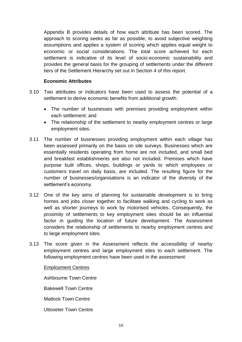Appendix B provides details of how each attribute has been scored. The approach to scoring seeks as far as possible, to avoid subjective weighting assumptions and applies a system of scoring which applies equal weight to economic or social considerations. The total score achieved for each settlement is indicative of its level of socio-economic sustainability and provides the general basis for the grouping of settlements under the different tiers of the Settlement Hierarchy set out in Section 4 of this report.

#### **Economic Attributes**

- 3.10 Two attributes or indicators have been used to assess the potential of a settlement to derive economic benefits from additional growth:
	- The number of businesses with premises providing employment within each settlement; and
	- The relationship of the settlement to nearby employment centres or large employment sites.
- 3.11 The number of businesses providing employment within each village has been assessed primarily on the basis on site surveys. Businesses which are essentially residents operating from home are not included, and small bed and breakfast establishments are also not included. Premises which have purpose built offices, shops, buildings or yards to which employees or customers travel on daily basis, are included. The resulting figure for the number of businesses/organisations is an indicator of the diversity of the settlement's economy.
- 3.12 One of the key aims of planning for sustainable development is to bring homes and jobs closer together to facilitate walking and cycling to work as well as shorter journeys to work by motorised vehicles. Consequently, the proximity of settlements to key employment sites should be an influential factor in guiding the location of future development. The Assessment considers the relationship of settlements to nearby employment centres and to large employment sites.
- 3.13 The score given in the Assessment reflects the accessibility of nearby employment centres and large employment sites to each settlement. The following employment centres have been used in the assessment:

#### Employment Centres

Ashbourne Town Centre Bakewell Town Centre Matlock Town Centre Uttoxeter Town Centre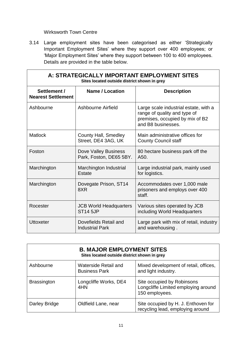# Wirksworth Town Centre

3.14 Large employment sites have been categorised as either 'Strategically Important Employment Sites' where they support over 400 employees; or 'Major Employment Sites' where they support between 100 to 400 employees. Details are provided in the table below.

| A: STRATEGICALLY IMPORTANT EMPLOYMENT SITES<br>Sites located outside district shown in grey |                                                    |                                                                                                                                |
|---------------------------------------------------------------------------------------------|----------------------------------------------------|--------------------------------------------------------------------------------------------------------------------------------|
| Settlement /<br><b>Nearest Settlement</b>                                                   | <b>Name / Location</b>                             | <b>Description</b>                                                                                                             |
| Ashbourne                                                                                   | Ashbourne Airfield                                 | Large scale industrial estate, with a<br>range of quality and type of<br>premises, occupied by mix of B2<br>and B8 businesses. |
| <b>Matlock</b>                                                                              | <b>County Hall, Smedley</b><br>Street, DE4 3AG, UK | Main administrative offices for<br><b>County Council staff</b>                                                                 |
| Foston                                                                                      | Dove Valley Business<br>Park, Foston, DE65 5BY.    | 80 hectare business park off the<br>A50.                                                                                       |
| Marchington                                                                                 | Marchington Industrial<br>Estate                   | Large industrial park, mainly used<br>for logistics.                                                                           |
| Marchington                                                                                 | Dovegate Prison, ST14<br>8XR                       | Accommodates over 1,000 male<br>prisoners and employs over 400<br>staff.                                                       |
| Rocester                                                                                    | <b>JCB World Headquarters</b><br><b>ST14 5JP</b>   | Various sites operated by JCB<br>including World Headquarters                                                                  |
| <b>Uttoxeter</b>                                                                            | Dovefields Retail and<br><b>Industrial Park</b>    | Large park with mix of retail, industry<br>and warehousing.                                                                    |

| <b>B. MAJOR EMPLOYMENT SITES</b><br>Sites located outside district shown in grey |                                              |                                                                                     |
|----------------------------------------------------------------------------------|----------------------------------------------|-------------------------------------------------------------------------------------|
| Ashbourne                                                                        | Waterside Retail and<br><b>Business Park</b> | Mixed development of retail, offices,<br>and light industry.                        |
| <b>Brassington</b>                                                               | Longcliffe Works, DE4<br>4HN                 | Site occupied by Robinsons<br>Longcliffe Limited employing around<br>150 employees. |
| Darley Bridge                                                                    | Oldfield Lane, near                          | Site occupied by H. J. Enthoven for<br>recycling lead, employing around             |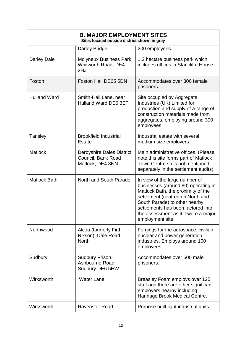| <b>B. MAJOR EMPLOYMENT SITES</b><br>Sites located outside district shown in grey |                                                                            |                                                                                                                                                                                                                                                                                    |
|----------------------------------------------------------------------------------|----------------------------------------------------------------------------|------------------------------------------------------------------------------------------------------------------------------------------------------------------------------------------------------------------------------------------------------------------------------------|
|                                                                                  | Darley Bridge                                                              | 200 employees.                                                                                                                                                                                                                                                                     |
| Darley Dale                                                                      | Molyneux Business Park,<br>Whitworth Road, DE4<br>2HJ                      | 1.2 hectare business park which<br>includes offices in Stancliffe House                                                                                                                                                                                                            |
| Foston                                                                           | Foston Hall DE65 5DN                                                       | Accommodates over 300 female<br>prisoners.                                                                                                                                                                                                                                         |
| <b>Hulland Ward</b>                                                              | Smith-Hall Lane, near<br>Hulland Ward DE6 3ET                              | Site occupied by Aggregate<br>Industries (UK) Limited for<br>production and supply of a range of<br>construction materials made from<br>aggregates, employing around 300<br>employees.                                                                                             |
| Tansley                                                                          | <b>Brookfield Industrial</b><br><b>Estate</b>                              | Industrial estate with several<br>medium size employers.                                                                                                                                                                                                                           |
| <b>Matlock</b>                                                                   | <b>Derbyshire Dales District</b><br>Council, Bank Road<br>Matlock, DE4 3NN | Main administrative offices. (Please<br>note this site forms part of Matlock<br>Town Centre so is not mentioned<br>separately in the settlement audits).                                                                                                                           |
| <b>Matlock Bath</b>                                                              | North and South Parade                                                     | In view of the large number of<br>businesses (around 80) operating in<br>Matlock Bath, the proximity of the<br>settlement (centred on North and<br>South Parade) to other nearby<br>settlements has been factored into<br>the assessment as if it were a major<br>employment site. |
| Northwood                                                                        | Alcoa (formerly Firth<br>Rixson), Dale Road<br><b>North</b>                | Forgings for the aerospace, civilian<br>nuclear and power generation<br>industries. Employs around 100<br>employees                                                                                                                                                                |
| Sudbury                                                                          | <b>Sudbury Prison</b><br>Ashbourne Road,<br>Sudbury DE6 5HW                | Accommodates over 500 male<br>prisoners.                                                                                                                                                                                                                                           |
| Wirksworth                                                                       | <b>Water Lane</b>                                                          | Breasley Foam employs over 125<br>staff and there are other significant<br>employers nearby including<br>Hannage Brook Medical Centre.                                                                                                                                             |
| Wirksworth                                                                       | <b>Ravenstor Road</b>                                                      | Purpose built light industrial units                                                                                                                                                                                                                                               |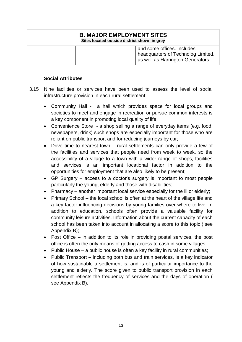# **B. MAJOR EMPLOYMENT SITES Sites located outside district shown in grey** and some offices. Includes headquarters of Technolog Limited, as well as Harrington Generators.

## **Social Attributes**

- 3.15 Nine facilities or services have been used to assess the level of social infrastructure provision in each rural settlement:
	- Community Hall a hall which provides space for local groups and societies to meet and engage in recreation or pursue common interests is a key component in promoting local quality of life;
	- Convenience Store a shop selling a range of everyday items (e.g. food, newspapers, drink) such shops are especially important for those who are reliant on public transport and for reducing journeys by car;
	- Drive time to nearest town rural settlements can only provide a few of the facilities and services that people need from week to week, so the accessibility of a village to a town with a wider range of shops, facilities and services is an important locational factor in addition to the opportunities for employment that are also likely to be present;
	- GP Surgery access to a doctor's surgery is important to most people particularly the young, elderly and those with disabilities;
	- Pharmacy another important local service especially for the ill or elderly;
	- Primary School the local school is often at the heart of the village life and a key factor influencing decisions by young families over where to live. In addition to education, schools often provide a valuable facility for community leisure activities. Information about the current capacity of each school has been taken into account in allocating a score to this topic ( see Appendix B);
	- Post Office in addition to its role in providing postal services, the post office is often the only means of getting access to cash in some villages;
	- Public House a public house is often a key facility in rural communities;
	- Public Transport including both bus and train services, is a key indicator of how sustainable a settlement is, and is of particular importance to the young and elderly. The score given to public transport provision in each settlement reflects the frequency of services and the days of operation ( see Appendix B).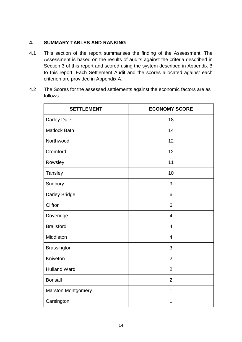# **4. SUMMARY TABLES AND RANKING**

- 4.1 This section of the report summarises the finding of the Assessment. The Assessment is based on the results of audits against the criteria described in Section 3 of this report and scored using the system described in Appendix B to this report. Each Settlement Audit and the scores allocated against each criterion are provided in Appendix A.
- 4.2 The Scores for the assessed settlements against the economic factors are as follows:

| <b>SETTLEMENT</b>         | <b>ECONOMY SCORE</b> |
|---------------------------|----------------------|
| Darley Dale               | 18                   |
| <b>Matlock Bath</b>       | 14                   |
| Northwood                 | 12                   |
| Cromford                  | 12                   |
| Rowsley                   | 11                   |
| Tansley                   | 10                   |
| Sudbury                   | 9                    |
| Darley Bridge             | 6                    |
| Clifton                   | 6                    |
| Doveridge                 | $\overline{4}$       |
| <b>Brailsford</b>         | $\overline{4}$       |
| Middleton                 | $\overline{4}$       |
| <b>Brassington</b>        | 3                    |
| Kniveton                  | $\overline{2}$       |
| <b>Hulland Ward</b>       | $\overline{2}$       |
| <b>Bonsall</b>            | $\overline{2}$       |
| <b>Marston Montgomery</b> | 1                    |
| Carsington                | 1                    |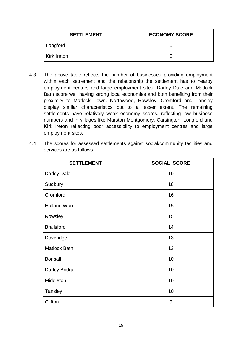| <b>SETTLEMENT</b> | <b>ECONOMY SCORE</b> |
|-------------------|----------------------|
| Longford          |                      |
| l Kirk Ireton     |                      |

- 4.3 The above table reflects the number of businesses providing employment within each settlement and the relationship the settlement has to nearby employment centres and large employment sites. Darley Dale and Matlock Bath score well having strong local economies and both benefiting from their proximity to Matlock Town. Northwood, Rowsley, Cromford and Tansley display similar characteristics but to a lesser extent. The remaining settlements have relatively weak economy scores, reflecting low business numbers and in villages like Marston Montgomery, Carsington, Longford and Kirk Ireton reflecting poor accessibility to employment centres and large employment sites.
- 4.4 The scores for assessed settlements against social/community facilities and services are as follows:

| <b>SETTLEMENT</b>   | <b>SOCIAL SCORE</b> |
|---------------------|---------------------|
| Darley Dale         | 19                  |
| Sudbury             | 18                  |
| Cromford            | 16                  |
| <b>Hulland Ward</b> | 15                  |
| Rowsley             | 15                  |
| <b>Brailsford</b>   | 14                  |
| Doveridge           | 13                  |
| <b>Matlock Bath</b> | 13                  |
| <b>Bonsall</b>      | 10                  |
| Darley Bridge       | 10                  |
| Middleton           | 10                  |
| <b>Tansley</b>      | 10                  |
| Clifton             | 9                   |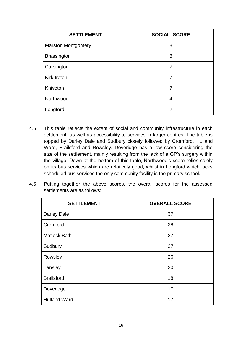| <b>SETTLEMENT</b>         | <b>SOCIAL SCORE</b> |
|---------------------------|---------------------|
| <b>Marston Montgomery</b> | 8                   |
| <b>Brassington</b>        | 8                   |
| Carsington                | 7                   |
| Kirk Ireton               | 7                   |
| Kniveton                  | 7                   |
| Northwood                 | 4                   |
| Longford                  | 2                   |

- 4.5 This table reflects the extent of social and community infrastructure in each settlement, as well as accessibility to services in larger centres. The table is topped by Darley Dale and Sudbury closely followed by Cromford, Hulland Ward, Brailsford and Rowsley. Doveridge has a low score considering the size of the settlement, mainly resulting from the lack of a GP's surgery within the village. Down at the bottom of this table, Northwood's score relies solely on its bus services which are relatively good, whilst in Longford which lacks scheduled bus services the only community facility is the primary school.
- 4.6 Putting together the above scores, the overall scores for the assessed settlements are as follows:

| <b>SETTLEMENT</b>   | <b>OVERALL SCORE</b> |
|---------------------|----------------------|
| <b>Darley Dale</b>  | 37                   |
| Cromford            | 28                   |
| <b>Matlock Bath</b> | 27                   |
| Sudbury             | 27                   |
| Rowsley             | 26                   |
| Tansley             | 20                   |
| <b>Brailsford</b>   | 18                   |
| Doveridge           | 17                   |
| <b>Hulland Ward</b> | 17                   |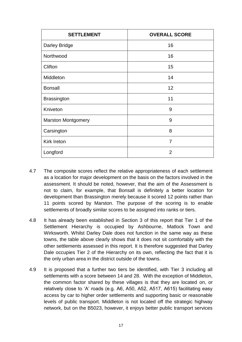| <b>SETTLEMENT</b>         | <b>OVERALL SCORE</b> |
|---------------------------|----------------------|
| <b>Darley Bridge</b>      | 16                   |
| Northwood                 | 16                   |
| Clifton                   | 15                   |
| Middleton                 | 14                   |
| <b>Bonsall</b>            | 12                   |
| <b>Brassington</b>        | 11                   |
| Kniveton                  | 9                    |
| <b>Marston Montgomery</b> | 9                    |
| Carsington                | 8                    |
| <b>Kirk Ireton</b>        | $\overline{7}$       |
| Longford                  | $\overline{2}$       |

- 4.7 The composite scores reflect the relative appropriateness of each settlement as a location for major development on the basis on the factors involved in the assessment. It should be noted, however, that the aim of the Assessment is not to claim, for example, that Bonsall is definitely a better location for development than Brassington merely because it scored 12 points rather than 11 points scored by Marston. The purpose of the scoring is to enable settlements of broadly similar scores to be assigned into ranks or tiers.
- 4.8 It has already been established in Section 3 of this report that Tier 1 of the Settlement Hierarchy is occupied by Ashbourne, Matlock Town and Wirksworth. Whilst Darley Dale does not function in the same way as these towns, the table above clearly shows that it does not sit comfortably with the other settlements assessed in this report. It is therefore suggested that Darley Dale occupies Tier 2 of the Hierarchy on its own, reflecting the fact that it is the only urban area in the district outside of the towns.
- 4.9 It is proposed that a further two tiers be identified, with Tier 3 including all settlements with a score between 14 and 28. With the exception of Middleton, the common factor shared by these villages is that they are located on, or relatively close to 'A' roads (e.g. A6, A50, A52, A517, A615) facilitating easy access by car to higher order settlements and supporting basic or reasonable levels of public transport. Middleton is not located off the strategic highway network, but on the B5023, however, it enjoys better public transport services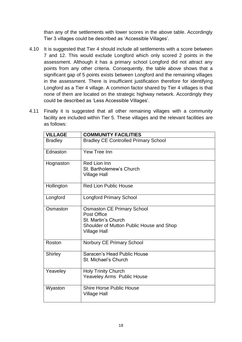than any of the settlements with lower scores in the above table. Accordingly Tier 3 villages could be described as 'Accessible Villages'.

- 4.10 It is suggested that Tier 4 should include all settlements with a score between 7 and 12. This would exclude Longford which only scored 2 points in the assessment. Although it has a primary school Longford did not attract any points from any other criteria. Consequently, the table above shows that a significant gap of 5 points exists between Longford and the remaining villages in the assessment. There is insufficient justification therefore for identifying Longford as a Tier 4 village. A common factor shared by Tier 4 villages is that none of them are located on the strategic highway network. Accordingly they could be described as 'Less Accessible Villages'.
- 4.11 Finally it is suggested that all other remaining villages with a community facility are included within Tier 5. These villages and the relevant facilities are as follows:

| <b>VILLAGE</b> | <b>COMMUNITY FACILITIES</b>                                                                                                                |
|----------------|--------------------------------------------------------------------------------------------------------------------------------------------|
| <b>Bradley</b> | <b>Bradley CE Controlled Primary School</b>                                                                                                |
| Ednaston       | Yew Tree Inn                                                                                                                               |
| Hognaston      | Red Lion Inn<br>St. Bartholemew's Church<br><b>Village Hall</b>                                                                            |
| Hollington     | <b>Red Lion Public House</b>                                                                                                               |
| Longford       | <b>Longford Primary School</b>                                                                                                             |
| Osmaston       | <b>Osmaston CE Primary School</b><br>Post Office<br>St. Martin's Church<br>Shoulder of Mutton Public House and Shop<br><b>Village Hall</b> |
| Roston         | Norbury CE Primary School                                                                                                                  |
| <b>Shirley</b> | Saracen's Head Public House<br>St. Michael's Church                                                                                        |
| Yeaveley       | <b>Holy Trinity Church</b><br>Yeaveley Arms Public House                                                                                   |
| Wyaston        | <b>Shire Horse Public House</b><br><b>Village Hall</b>                                                                                     |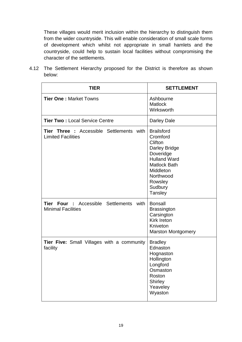These villages would merit inclusion within the hierarchy to distinguish them from the wider countryside. This will enable consideration of small scale forms of development which whilst not appropriate in small hamlets and the countryside, could help to sustain local facilities without compromising the character of the settlements.

4.12 The Settlement Hierarchy proposed for the District is therefore as shown below:

| <b>TIER</b>                                                                  | <b>SETTLEMENT</b>                                                                                                                                                                      |
|------------------------------------------------------------------------------|----------------------------------------------------------------------------------------------------------------------------------------------------------------------------------------|
| <b>Tier One: Market Towns</b>                                                | Ashbourne<br>Matlock<br>Wirksworth                                                                                                                                                     |
| <b>Tier Two: Local Service Centre</b>                                        | Darley Dale                                                                                                                                                                            |
| <b>Tier Three :</b> Accessible Settlements with<br><b>Limited Facilities</b> | <b>Brailsford</b><br>Cromford<br>Clifton<br><b>Darley Bridge</b><br>Doveridge<br><b>Hulland Ward</b><br><b>Matlock Bath</b><br>Middleton<br>Northwood<br>Rowsley<br>Sudbury<br>Tansley |
| <b>Tier Four :</b> Accessible Settlements with<br><b>Minimal Facilities</b>  | <b>Bonsall</b><br><b>Brassington</b><br>Carsington<br><b>Kirk Ireton</b><br>Kniveton<br><b>Marston Montgomery</b>                                                                      |
| <b>Tier Five:</b> Small Villages with a community<br>facility                | <b>Bradley</b><br>Ednaston<br>Hognaston<br>Hollington<br>Longford<br>Osmaston<br>Roston<br>Shirley<br>Yeaveley<br>Wyaston                                                              |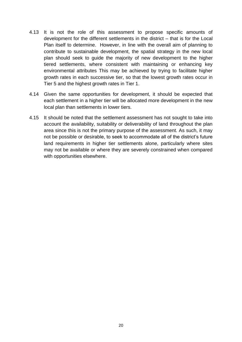- 4.13 It is not the role of this assessment to propose specific amounts of development for the different settlements in the district – that is for the Local Plan itself to determine. However, in line with the overall aim of planning to contribute to sustainable development, the spatial strategy in the new local plan should seek to guide the majority of new development to the higher tiered settlements, where consistent with maintaining or enhancing key environmental attributes This may be achieved by trying to facilitate higher growth rates in each successive tier, so that the lowest growth rates occur in Tier 5 and the highest growth rates in Tier 1.
- 4.14 Given the same opportunities for development, it should be expected that each settlement in a higher tier will be allocated more development in the new local plan than settlements in lower tiers.
- 4.15 It should be noted that the settlement assessment has not sought to take into account the availability, suitability or deliverability of land throughout the plan area since this is not the primary purpose of the assessment. As such, it may not be possible or desirable, to seek to accommodate all of the district's future land requirements in higher tier settlements alone, particularly where sites may not be available or where they are severely constrained when compared with opportunities elsewhere.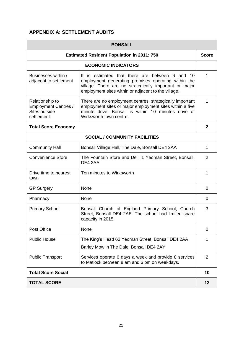# **APPENDIX A: SETTLEMENT AUDITS**

| <b>BONSALL</b>                                                                |                                                                                                                                                                                                                            |                |
|-------------------------------------------------------------------------------|----------------------------------------------------------------------------------------------------------------------------------------------------------------------------------------------------------------------------|----------------|
|                                                                               | <b>Estimated Resident Population in 2011: 750</b>                                                                                                                                                                          | <b>Score</b>   |
|                                                                               | <b>ECONOMIC INDICATORS</b>                                                                                                                                                                                                 |                |
| Businesses within /<br>adjacent to settlement                                 | It is estimated that there are between 6 and<br>10<br>employment generating premises operating within the<br>village. There are no strategically important or major<br>employment sites within or adjacent to the village. | 1              |
| Relationship to<br><b>Employment Centres /</b><br>Sites outside<br>settlement | There are no employment centres, strategically important<br>employment sites or major employment sites within a five<br>minute drive. Bonsall is within 10 minutes drive of<br>Wirksworth town centre.                     | 1              |
| <b>Total Score Economy</b>                                                    |                                                                                                                                                                                                                            | $\mathbf{2}$   |
|                                                                               | <b>SOCIAL / COMMUNITY FACILITIES</b>                                                                                                                                                                                       |                |
| <b>Community Hall</b>                                                         | Bonsall Village Hall, The Dale, Bonsall DE4 2AA                                                                                                                                                                            | 1              |
| <b>Convenience Store</b>                                                      | The Fountain Store and Deli, 1 Yeoman Street, Bonsall,<br>DE4 2AA                                                                                                                                                          | $\overline{2}$ |
| Drive time to nearest<br>town                                                 | Ten minutes to Wirksworth                                                                                                                                                                                                  | 1              |
| <b>GP Surgery</b>                                                             | None                                                                                                                                                                                                                       | 0              |
| Pharmacy                                                                      | None                                                                                                                                                                                                                       | $\Omega$       |
| <b>Primary School</b>                                                         | Bonsall Church of England Primary School, Church<br>Street, Bonsall DE4 2AE. The school had limited spare<br>capacity in 2015.                                                                                             | 3              |
| Post Office                                                                   | None                                                                                                                                                                                                                       | 0              |
| <b>Public House</b>                                                           | The King's Head 62 Yeoman Street, Bonsall DE4 2AA<br>Barley Mow in The Dale, Bonsall DE4 2AY                                                                                                                               | 1              |
| <b>Public Transport</b>                                                       | Services operate 6 days a week and provide 8 services<br>to Matlock between 8 am and 6 pm on weekdays.                                                                                                                     | 2              |
| <b>Total Score Social</b>                                                     |                                                                                                                                                                                                                            | 10             |
| <b>TOTAL SCORE</b>                                                            |                                                                                                                                                                                                                            | 12             |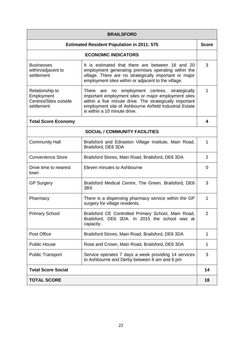| <b>BRAILSFORD</b>                                                    |                                                                                                                                                                                                                                                              |                |
|----------------------------------------------------------------------|--------------------------------------------------------------------------------------------------------------------------------------------------------------------------------------------------------------------------------------------------------------|----------------|
|                                                                      | <b>Estimated Resident Population in 2011: 575</b>                                                                                                                                                                                                            | <b>Score</b>   |
|                                                                      | <b>ECONOMIC INDICATORS</b>                                                                                                                                                                                                                                   |                |
| <b>Businesses</b><br>within/adjacent to<br>settlement                | It is estimated that there are between 16 and 20<br>employment generating premises operating within the<br>village. There are no strategically important or major<br>employment sites within or adjacent to the village.                                     | 3              |
| Relationship to<br>Employment<br>Centres/Sites outside<br>settlement | There are no employment centres, strategically<br>important employment sites or major employment sites<br>within a five minute drive. The strategically important<br>employment site of Ashbourne Airfield Industrial Estate<br>is within a 10 minute drive. | 1              |
| <b>Total Score Economy</b>                                           |                                                                                                                                                                                                                                                              | 4              |
|                                                                      | <b>SOCIAL / COMMUNITY FACILITIES</b>                                                                                                                                                                                                                         |                |
| <b>Community Hall</b>                                                | Brailsford and Ednaston Village Institute, Main Road,<br>Brailsford, DE6 3DA                                                                                                                                                                                 | 1              |
| <b>Convenience Store</b>                                             | Brailsford Stores, Main Road, Brailsford, DE6 3DA                                                                                                                                                                                                            | 2              |
| Drive time to nearest<br>town                                        | Eleven minutes to Ashbourne                                                                                                                                                                                                                                  | 0              |
| <b>GP Surgery</b>                                                    | Brailsford Medical Centre, The Green, Brailsford, DE6<br>3BX                                                                                                                                                                                                 | 3              |
| Pharmacy                                                             | There is a dispensing pharmacy service within the GP<br>surgery for village residents.                                                                                                                                                                       | 1              |
| <b>Primary School</b>                                                | Brailsford CE Controlled Primary School, Main Road,<br>Brailsford, DE6 3DA. In 2015 the school was at<br>capacity.                                                                                                                                           | $\overline{2}$ |
| Post Office                                                          | Brailsford Stores, Main Road, Brailsford, DE6 3DA                                                                                                                                                                                                            | 1              |
| <b>Public House</b>                                                  | Rose and Crown, Main Road, Brailsford, DE6 3DA                                                                                                                                                                                                               | 1              |
| <b>Public Transport</b>                                              | Service operates 7 days a week providing 14 services<br>to Ashbourne and Derby between 8 am and 6 pm                                                                                                                                                         | 3              |
| <b>Total Score Social</b>                                            |                                                                                                                                                                                                                                                              | 14             |
| <b>TOTAL SCORE</b>                                                   |                                                                                                                                                                                                                                                              | 18             |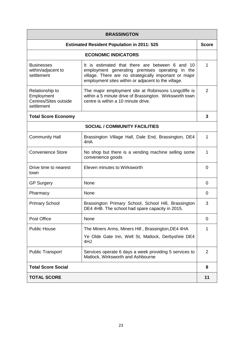| <b>BRASSINGTON</b>                                                   |                                                                                                                                                                                                                     |                |
|----------------------------------------------------------------------|---------------------------------------------------------------------------------------------------------------------------------------------------------------------------------------------------------------------|----------------|
|                                                                      | <b>Estimated Resident Population in 2011: 525</b>                                                                                                                                                                   | <b>Score</b>   |
|                                                                      | <b>ECONOMIC INDICATORS</b>                                                                                                                                                                                          |                |
| <b>Businesses</b><br>within/adjacent to<br>settlement                | It is estimated that there are between 6 and 10<br>employment generating premises operating in the<br>village. There are no strategically important or major<br>employment sites within or adjacent to the village. | 1              |
| Relationship to<br>Employment<br>Centres/Sites outside<br>settlement | The major employment site at Robinsons Longcliffe is<br>within a 5 minute drive of Brassington. Wirksworth town<br>centre is within a 10 minute drive.                                                              | $\overline{2}$ |
| <b>Total Score Economy</b>                                           |                                                                                                                                                                                                                     | 3              |
|                                                                      | <b>SOCIAL / COMMUNITY FACILITIES</b>                                                                                                                                                                                |                |
| <b>Community Hall</b>                                                | Brassington Village Hall, Dale End, Brassington, DE4<br>4HA                                                                                                                                                         | 1              |
| <b>Convenience Store</b>                                             | No shop but there is a vending machine selling some<br>convenience goods                                                                                                                                            | 1              |
| Drive time to nearest<br>town                                        | Eleven minutes to Wirksworth                                                                                                                                                                                        | 0              |
| <b>GP Surgery</b>                                                    | None                                                                                                                                                                                                                | 0              |
| Pharmacy                                                             | None                                                                                                                                                                                                                | 0              |
| <b>Primary School</b>                                                | Brassington Primary School, School Hill, Brassington<br>DE4 4HB. The school had spare capacity in 2015.                                                                                                             | 3              |
| Post Office                                                          | None                                                                                                                                                                                                                | 0              |
| <b>Public House</b>                                                  | The Miners Arms, Miners Hill, Brassington, DE4 4HA<br>Ye Olde Gate Inn, Well St, Matlock, Derbyshire DE4<br>4HJ                                                                                                     | 1              |
| <b>Public Transport</b>                                              | Services operate 6 days a week providing 5 services to<br>Matlock, Wirksworth and Ashbourne                                                                                                                         | 2              |
| <b>Total Score Social</b>                                            |                                                                                                                                                                                                                     | 8              |
| <b>TOTAL SCORE</b>                                                   |                                                                                                                                                                                                                     | 11             |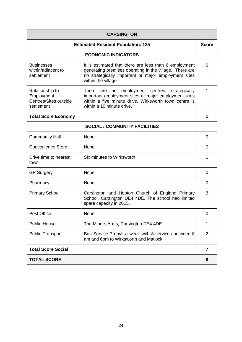| <b>CARSINGTON</b>                                                    |                                                                                                                                                                                                    |              |
|----------------------------------------------------------------------|----------------------------------------------------------------------------------------------------------------------------------------------------------------------------------------------------|--------------|
|                                                                      | <b>Estimated Resident Population: 125</b>                                                                                                                                                          | <b>Score</b> |
|                                                                      | <b>ECONOMIC INDICATORS</b>                                                                                                                                                                         |              |
| <b>Businesses</b><br>within/adjacent to<br>settlement                | It is estimated that there are less than 6 employment<br>generating premises operating in the village. There are<br>no strategically important or major employment sites<br>within the village.    | $\Omega$     |
| Relationship to<br>Employment<br>Centres/Sites outside<br>settlement | employment centres, strategically<br>There are<br>no<br>important employment sites or major employment sites<br>within a five minute drive. Wirksworth town centre is<br>within a 10 minute drive. | 1            |
| <b>Total Score Economy</b>                                           |                                                                                                                                                                                                    | 1            |
|                                                                      | <b>SOCIAL / COMMUNITY FACILITIES</b>                                                                                                                                                               |              |
| <b>Community Hall</b>                                                | None                                                                                                                                                                                               | 0            |
| <b>Convenience Store</b>                                             | None                                                                                                                                                                                               | 0            |
| Drive time to nearest<br>town                                        | Six minutes to Wirksworth                                                                                                                                                                          | 1            |
| <b>GP Surgery</b>                                                    | None                                                                                                                                                                                               | $\Omega$     |
| Pharmacy                                                             | None                                                                                                                                                                                               | 0            |
| <b>Primary School</b>                                                | Carsington and Hopton Church of England Primary<br>School, Carsington DE4 4DE. The school had limited<br>spare capacity in 2015.                                                                   | 3            |
| Post Office                                                          | None                                                                                                                                                                                               | 0            |
| <b>Public House</b>                                                  | The Miners Arms, Carsington DE4 4DE                                                                                                                                                                | 1            |
| <b>Public Transport</b>                                              | Bus Service 7 days a week with 8 services between 8<br>am and 6pm to Wirksworth and Matlock                                                                                                        | 2            |
| <b>Total Score Social</b>                                            |                                                                                                                                                                                                    | 7            |
| <b>TOTAL SCORE</b>                                                   |                                                                                                                                                                                                    | 8            |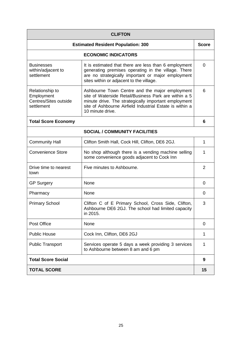| <b>CLIFTON</b>                                                       |                                                                                                                                                                                                                                                 |                |
|----------------------------------------------------------------------|-------------------------------------------------------------------------------------------------------------------------------------------------------------------------------------------------------------------------------------------------|----------------|
|                                                                      | <b>Estimated Resident Population: 300</b>                                                                                                                                                                                                       | <b>Score</b>   |
|                                                                      | <b>ECONOMIC INDICATORS</b>                                                                                                                                                                                                                      |                |
| <b>Businesses</b><br>within/adjacent to<br>settlement                | It is estimated that there are less than 6 employment<br>generating premises operating in the village. There<br>are no strategically important or major employment<br>sites within or adjacent to the village.                                  | 0              |
| Relationship to<br>Employment<br>Centres/Sites outside<br>settlement | Ashbourne Town Centre and the major employment<br>site of Waterside Retail/Business Park are within a 5<br>minute drive. The strategically important employment<br>site of Ashbourne Airfield Industrial Estate is within a<br>10 minute drive. | 6              |
| <b>Total Score Economy</b>                                           |                                                                                                                                                                                                                                                 | 6              |
|                                                                      | <b>SOCIAL / COMMUNITY FACILITIES</b>                                                                                                                                                                                                            |                |
| <b>Community Hall</b>                                                | Clifton Smith Hall, Cock Hill, Clifton, DE6 2GJ.                                                                                                                                                                                                | 1              |
| <b>Convenience Store</b>                                             | No shop although there is a vending machine selling<br>some convenience goods adjacent to Cock Inn                                                                                                                                              | 1              |
| Drive time to nearest<br>town                                        | Five minutes to Ashbourne.                                                                                                                                                                                                                      | $\overline{2}$ |
| <b>GP Surgery</b>                                                    | None                                                                                                                                                                                                                                            | 0              |
| Pharmacy                                                             | None                                                                                                                                                                                                                                            | 0              |
| <b>Primary School</b>                                                | Clifton C of E Primary School, Cross Side, Clifton,<br>Ashbourne DE6 2GJ. The school had limited capacity<br>in 2015.                                                                                                                           | 3              |
| Post Office                                                          | None                                                                                                                                                                                                                                            | 0              |
| <b>Public House</b>                                                  | Cock Inn, Clifton, DE6 2GJ                                                                                                                                                                                                                      | 1              |
| <b>Public Transport</b>                                              | Services operate 5 days a week providing 3 services<br>to Ashbourne between 8 am and 6 pm                                                                                                                                                       | 1              |
| <b>Total Score Social</b>                                            |                                                                                                                                                                                                                                                 | 9              |
| <b>TOTAL SCORE</b>                                                   |                                                                                                                                                                                                                                                 | 15             |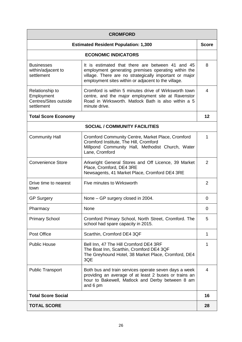| <b>CROMFORD</b>                                                      |                                                                                                                                                                                                                          |              |
|----------------------------------------------------------------------|--------------------------------------------------------------------------------------------------------------------------------------------------------------------------------------------------------------------------|--------------|
|                                                                      | <b>Estimated Resident Population: 1,300</b>                                                                                                                                                                              | <b>Score</b> |
|                                                                      | <b>ECONOMIC INDICATORS</b>                                                                                                                                                                                               |              |
| <b>Businesses</b><br>within/adjacent to<br>settlement                | It is estimated that there are between 41 and 45<br>employment generating premises operating within the<br>village. There are no strategically important or major<br>employment sites within or adjacent to the village. | 8            |
| Relationship to<br>Employment<br>Centres/Sites outside<br>settlement | Cromford is within 5 minutes drive of Wirksworth town<br>centre, and the major employment site at Ravenstor<br>Road in Wirksworth. Matlock Bath is also within a 5<br>minute drive.                                      | 4            |
| <b>Total Score Economy</b>                                           |                                                                                                                                                                                                                          | 12           |
|                                                                      | <b>SOCIAL / COMMUNITY FACILITIES</b>                                                                                                                                                                                     |              |
| <b>Community Hall</b>                                                | <b>Cromford Community Centre, Market Place, Cromford</b><br>Cromford Institute, The Hill, Cromford<br>Millpond Community Hall, Methodist Church, Water<br>Lane, Cromford                                                 | 1            |
| <b>Convenience Store</b>                                             | Arkwright General Stores and Off Licence, 39 Market<br>Place, Cromford, DE4 3RE<br>Newsagents, 41 Market Place, Cromford DE4 3RE                                                                                         | 2            |
| Drive time to nearest<br>town                                        | Five minutes to Wirksworth                                                                                                                                                                                               | 2            |
| <b>GP Surgery</b>                                                    | None – GP surgery closed in 2004.                                                                                                                                                                                        | 0            |
| Pharmacy                                                             | None                                                                                                                                                                                                                     | 0            |
| <b>Primary School</b>                                                | Cromford Primary School, North Street, Cromford. The<br>school had spare capacity in 2015.                                                                                                                               | 5            |
| Post Office                                                          | Scarthin, Cromford DE4 3QF                                                                                                                                                                                               | 1            |
| <b>Public House</b>                                                  | Bell Inn, 47 The Hill Cromford DE4 3RF<br>The Boat Inn, Scarthin, Cromford DE4 3QF<br>The Greyhound Hotel, 38 Market Place, Cromford, DE4<br>3QE                                                                         | 1            |
| <b>Public Transport</b>                                              | Both bus and train services operate seven days a week<br>providing an average of at least 2 buses or trains an<br>hour to Bakewell, Matlock and Derby between 8 am<br>and 6 pm                                           | 4            |
| <b>Total Score Social</b>                                            |                                                                                                                                                                                                                          | 16           |
| <b>TOTAL SCORE</b>                                                   |                                                                                                                                                                                                                          | 28           |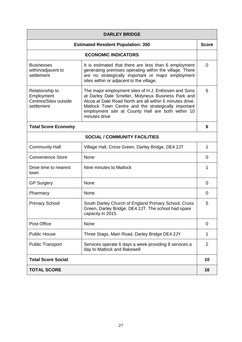| <b>DARLEY BRIDGE</b>                                                 |                                                                                                                                                                                                                                                                                                     |                |
|----------------------------------------------------------------------|-----------------------------------------------------------------------------------------------------------------------------------------------------------------------------------------------------------------------------------------------------------------------------------------------------|----------------|
|                                                                      | <b>Estimated Resident Population: 350</b>                                                                                                                                                                                                                                                           | <b>Score</b>   |
|                                                                      | <b>ECONOMIC INDICATORS</b>                                                                                                                                                                                                                                                                          |                |
| <b>Businesses</b><br>within/adjacent to<br>settlement                | It is estimated that there are less than 6 employment<br>generating premises operating within the village. There<br>are no strategically important or major employment<br>sites within or adjacent to the village.                                                                                  | $\overline{0}$ |
| Relationship to<br>Employment<br>Centres/Sites outside<br>settlement | The major employment sites of H.J. Enthoven and Sons<br>at Darley Dale Smelter, Molyneux Business Park and<br>Alcoa at Dale Road North are all within 5 minutes drive.<br>Matlock Town Centre and the strategically important<br>employment site at County Hall are both within 10<br>minutes drive | 6              |
| <b>Total Score Economy</b>                                           |                                                                                                                                                                                                                                                                                                     | 6              |
|                                                                      | <b>SOCIAL / COMMUNITY FACILITIES</b>                                                                                                                                                                                                                                                                |                |
| <b>Community Hall</b>                                                | Village Hall, Cross Green, Darley Bridge, DE4 2JT                                                                                                                                                                                                                                                   | 1              |
| <b>Convenience Store</b>                                             | None                                                                                                                                                                                                                                                                                                | 0              |
| Drive time to nearest<br>town                                        | Nine minutes to Matlock                                                                                                                                                                                                                                                                             | 1              |
| <b>GP Surgery</b>                                                    | None                                                                                                                                                                                                                                                                                                | 0              |
| Pharmacy                                                             | None                                                                                                                                                                                                                                                                                                | 0              |
| <b>Primary School</b>                                                | South Darley Church of England Primary School, Cross<br>Green, Darley Bridge, DE4 2JT. The school had spare<br>capacity in 2015.                                                                                                                                                                    | 5              |
| Post Office                                                          | None                                                                                                                                                                                                                                                                                                | 0              |
| <b>Public House</b>                                                  | Three Stags, Main Road, Darley Bridge DE4 2JY                                                                                                                                                                                                                                                       | 1              |
| <b>Public Transport</b>                                              | Services operate 6 days a week providing 8 services a<br>day to Matlock and Bakewell                                                                                                                                                                                                                | $\overline{2}$ |
| <b>Total Score Social</b>                                            |                                                                                                                                                                                                                                                                                                     | 10             |
| <b>TOTAL SCORE</b>                                                   |                                                                                                                                                                                                                                                                                                     | 16             |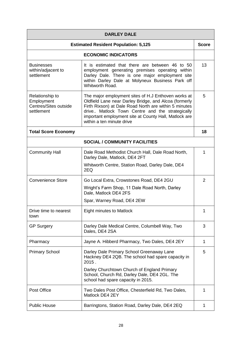| <b>DARLEY DALE</b>                                                   |                                                                                                                                                                                                                                                                                                                |                |
|----------------------------------------------------------------------|----------------------------------------------------------------------------------------------------------------------------------------------------------------------------------------------------------------------------------------------------------------------------------------------------------------|----------------|
|                                                                      | <b>Estimated Resident Population: 5,125</b>                                                                                                                                                                                                                                                                    | <b>Score</b>   |
|                                                                      | <b>ECONOMIC INDICATORS</b>                                                                                                                                                                                                                                                                                     |                |
| <b>Businesses</b><br>within/adjacent to<br>settlement                | It is estimated that there are between 46 to 50<br>employment generating premises operating within<br>Darley Dale. There is one major employment site<br>within Darley Dale at Molyneux Business Park off<br>Whitworth Road.                                                                                   | 13             |
| Relationship to<br>Employment<br>Centres/Sites outside<br>settlement | The major employment sites of H.J Enthoven works at<br>Oldfield Lane near Darley Bridge, and Alcoa (formerly<br>Firth Rixson) at Dale Road North are within 5 minutes<br>drive Matlock Town Centre and the strategically<br>important employment site at County Hall, Matlock are<br>within a ten minute drive | 5              |
| <b>Total Score Economy</b>                                           |                                                                                                                                                                                                                                                                                                                | 18             |
|                                                                      | <b>SOCIAL / COMMUNITY FACILITIES</b>                                                                                                                                                                                                                                                                           |                |
| <b>Community Hall</b>                                                | Dale Road Methodist Church Hall, Dale Road North,<br>Darley Dale, Matlock, DE4 2FT                                                                                                                                                                                                                             | 1              |
|                                                                      | Whitworth Centre, Station Road, Darley Dale, DE4<br>2EQ                                                                                                                                                                                                                                                        |                |
| <b>Convenience Store</b>                                             | Go Local Extra, Crowstones Road, DE4 2GU                                                                                                                                                                                                                                                                       | $\overline{2}$ |
|                                                                      | Wright's Farm Shop, 11 Dale Road North, Darley<br>Dale, Matlock DE4 2FS                                                                                                                                                                                                                                        |                |
|                                                                      | Spar, Warney Road, DE4 2EW                                                                                                                                                                                                                                                                                     |                |
| Drive time to nearest<br>town                                        | <b>Eight minutes to Matlock</b>                                                                                                                                                                                                                                                                                | 1              |
| <b>GP Surgery</b>                                                    | Darley Dale Medical Centre, Columbell Way, Two<br>Dales, DE4 2SA                                                                                                                                                                                                                                               | 3              |
| Pharmacy                                                             | Jayne A. Hibberd Pharmacy, Two Dales, DE4 2EY                                                                                                                                                                                                                                                                  | 1              |
| <b>Primary School</b>                                                | Darley Dale Primary School Greenaway Lane<br>Hackney DE4 2QB. The school had spare capacity in<br>2015.                                                                                                                                                                                                        | 5              |
|                                                                      | Darley Churchtown Church of England Primary<br>School, Church Rd, Darley Dale, DE4 2GL. The<br>school had spare capacity in 2015.                                                                                                                                                                              |                |
| Post Office                                                          | Two Dales Post Office, Chesterfield Rd, Two Dales,<br>Matlock DE4 2EY                                                                                                                                                                                                                                          | 1              |
| <b>Public House</b>                                                  | Barringtons, Station Road, Darley Dale, DE4 2EQ                                                                                                                                                                                                                                                                | 1              |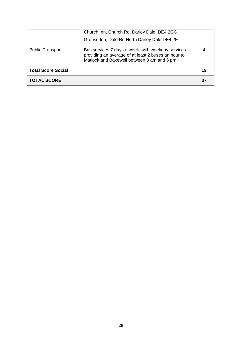| <b>TOTAL SCORE</b>        |                                                                                                                                                        | 3 <sub>1</sub> |
|---------------------------|--------------------------------------------------------------------------------------------------------------------------------------------------------|----------------|
| <b>Total Score Social</b> |                                                                                                                                                        | 19             |
| <b>Public Transport</b>   | Bus services 7 days a week, with weekday services<br>providing an average of at least 2 buses an hour to<br>Matlock and Bakewell between 8 am and 6 pm |                |
|                           | Grouse Inn, Dale Rd North Darley Dale DE4 2FT                                                                                                          |                |
|                           | Church Inn, Church Rd, Darley Dale, DE4 2GG                                                                                                            |                |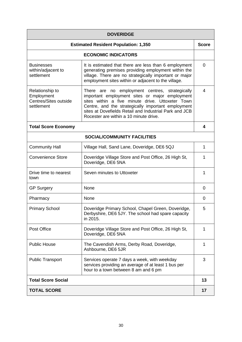| <b>DOVERIDGE</b>                                                     |                                                                                                                                                                                                                                                                                                                |                |
|----------------------------------------------------------------------|----------------------------------------------------------------------------------------------------------------------------------------------------------------------------------------------------------------------------------------------------------------------------------------------------------------|----------------|
|                                                                      | <b>Estimated Resident Population: 1,350</b>                                                                                                                                                                                                                                                                    | <b>Score</b>   |
|                                                                      | <b>ECONOMIC INDICATORS</b>                                                                                                                                                                                                                                                                                     |                |
| <b>Businesses</b><br>within/adjacent to<br>settlement                | It is estimated that there are less than 6 employment<br>generating premises providing employment within the<br>village. There are no strategically important or major<br>employment sites within or adjacent to the village.                                                                                  | $\overline{0}$ |
| Relationship to<br>Employment<br>Centres/Sites outside<br>settlement | There are no employment centres, strategically<br>important employment sites or major employment<br>sites within a five minute drive. Uttoxeter Town<br>Centre, and the strategically important employment<br>sites at Dovefields Retail and Industrial Park and JCB<br>Rocester are within a 10 minute drive. | 4              |
| <b>Total Score Economy</b>                                           |                                                                                                                                                                                                                                                                                                                | 4              |
|                                                                      | <b>SOCIAL/COMMUNITY FACILITIES</b>                                                                                                                                                                                                                                                                             |                |
| <b>Community Hall</b>                                                | Village Hall, Sand Lane, Doveridge, DE6 5QJ                                                                                                                                                                                                                                                                    | 1              |
| <b>Convenience Store</b>                                             | Doveridge Village Store and Post Office, 26 High St,<br>Doveridge, DE6 5NA                                                                                                                                                                                                                                     | 1              |
| Drive time to nearest<br>town                                        | Seven minutes to Uttoxeter                                                                                                                                                                                                                                                                                     | 1              |
| <b>GP Surgery</b>                                                    | None                                                                                                                                                                                                                                                                                                           | 0              |
| Pharmacy                                                             | None                                                                                                                                                                                                                                                                                                           | 0              |
| <b>Primary School</b>                                                | Doveridge Primary School, Chapel Green, Doveridge,<br>Derbyshire, DE6 5JY. The school had spare capacity<br>in 2015.                                                                                                                                                                                           | 5              |
| Post Office                                                          | Doveridge Village Store and Post Office, 26 High St,<br>Doveridge, DE6 5NA                                                                                                                                                                                                                                     | 1              |
| <b>Public House</b>                                                  | The Cavendish Arms, Derby Road, Doveridge,<br>Ashbourne, DE6 5JR                                                                                                                                                                                                                                               | 1              |
| <b>Public Transport</b>                                              | Services operate 7 days a week, with weekday<br>services providing an average of at least 1 bus per<br>hour to a town between 8 am and 6 pm                                                                                                                                                                    | 3              |
| <b>Total Score Social</b>                                            |                                                                                                                                                                                                                                                                                                                | 13             |
| <b>TOTAL SCORE</b>                                                   |                                                                                                                                                                                                                                                                                                                | 17             |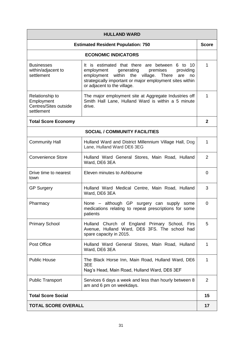| <b>HULLAND WARD</b>                                                  |                                                                                                                                                                                                                                                        |                |
|----------------------------------------------------------------------|--------------------------------------------------------------------------------------------------------------------------------------------------------------------------------------------------------------------------------------------------------|----------------|
| <b>Estimated Resident Population: 750</b>                            |                                                                                                                                                                                                                                                        | <b>Score</b>   |
|                                                                      | <b>ECONOMIC INDICATORS</b>                                                                                                                                                                                                                             |                |
| <b>Businesses</b><br>within/adjacent to<br>settlement                | It is estimated that there are between 6 to 10<br>employment<br>generating<br>premises<br>providing<br>employment<br>within the village. There<br>are<br>no<br>strategically important or major employment sites within<br>or adjacent to the village. | 1              |
| Relationship to<br>Employment<br>Centres/Sites outside<br>settlement | The major employment site at Aggregate Industries off<br>Smith Hall Lane, Hulland Ward is within a 5 minute<br>drive.                                                                                                                                  | 1              |
| <b>Total Score Economy</b>                                           |                                                                                                                                                                                                                                                        | $\mathbf{2}$   |
|                                                                      | <b>SOCIAL / COMMUNITY FACILITIES</b>                                                                                                                                                                                                                   |                |
| <b>Community Hall</b>                                                | Hulland Ward and District Millennium Village Hall, Dog<br>Lane, Hulland Ward DE6 3EG                                                                                                                                                                   | 1              |
| <b>Convenience Store</b>                                             | Hulland Ward General Stores, Main Road, Hulland<br>Ward, DE6 3EA                                                                                                                                                                                       | $\overline{2}$ |
| Drive time to nearest<br>town                                        | Eleven minutes to Ashbourne                                                                                                                                                                                                                            | 0              |
| <b>GP Surgery</b>                                                    | Hulland Ward Medical Centre, Main Road, Hulland<br>Ward, DE6 3EA                                                                                                                                                                                       | 3              |
| Pharmacy                                                             | None – although GP surgery can supply some<br>medications relating to repeat prescriptions for some<br>patients                                                                                                                                        | 0              |
| <b>Primary School</b>                                                | Hulland Church of England Primary School, Firs<br>Avenue, Hulland Ward, DE6 3FS. The school had<br>spare capacity in 2015.                                                                                                                             | 5              |
| Post Office                                                          | Hulland Ward General Stores, Main Road, Hulland<br>Ward, DE6 3EA                                                                                                                                                                                       | 1              |
| <b>Public House</b>                                                  | The Black Horse Inn, Main Road, Hulland Ward, DE6<br>3EE<br>Nag's Head, Main Road, Hulland Ward, DE6 3EF                                                                                                                                               | 1              |
| <b>Public Transport</b>                                              | Services 6 days a week and less than hourly between 8<br>am and 6 pm on weekdays.                                                                                                                                                                      | 2              |
| <b>Total Score Social</b>                                            |                                                                                                                                                                                                                                                        | 15             |
| <b>TOTAL SCORE OVERALL</b>                                           |                                                                                                                                                                                                                                                        | 17             |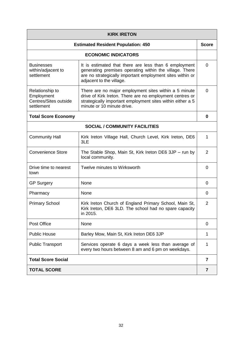| <b>KIRK IRETON</b>                                                   |                                                                                                                                                                                                               |                |
|----------------------------------------------------------------------|---------------------------------------------------------------------------------------------------------------------------------------------------------------------------------------------------------------|----------------|
|                                                                      | <b>Estimated Resident Population: 450</b>                                                                                                                                                                     | <b>Score</b>   |
|                                                                      | <b>ECONOMIC INDICATORS</b>                                                                                                                                                                                    |                |
| <b>Businesses</b><br>within/adjacent to<br>settlement                | It is estimated that there are less than 6 employment<br>generating premises operating within the village. There<br>are no strategically important employment sites within or<br>adjacent to the village.     | $\Omega$       |
| Relationship to<br>Employment<br>Centres/Sites outside<br>settlement | There are no major employment sites within a 5 minute<br>drive of Kirk Ireton. There are no employment centres or<br>strategically important employment sites within either a 5<br>minute or 10 minute drive. | $\overline{0}$ |
| <b>Total Score Economy</b>                                           |                                                                                                                                                                                                               | 0              |
|                                                                      | <b>SOCIAL / COMMUNITY FACILITIES</b>                                                                                                                                                                          |                |
| <b>Community Hall</b>                                                | Kirk Ireton Village Hall, Church Level, Kirk Ireton, DE6<br>3LE                                                                                                                                               | 1              |
| <b>Convenience Store</b>                                             | The Stable Shop, Main St, Kirk Ireton DE6 3JP - run by<br>local community.                                                                                                                                    | $\overline{2}$ |
| Drive time to nearest<br>town                                        | Twelve minutes to Wirksworth                                                                                                                                                                                  | 0              |
| <b>GP Surgery</b>                                                    | None                                                                                                                                                                                                          | 0              |
| Pharmacy                                                             | None                                                                                                                                                                                                          | 0              |
| <b>Primary School</b>                                                | Kirk Ireton Church of England Primary School, Main St,<br>Kirk Ireton, DE6 3LD. The school had no spare capacity<br>in 2015.                                                                                  | $\overline{2}$ |
| Post Office                                                          | None                                                                                                                                                                                                          | $\Omega$       |
| <b>Public House</b>                                                  | Barley Mow, Main St, Kirk Ireton DE6 3JP                                                                                                                                                                      | 1              |
| <b>Public Transport</b>                                              | Services operate 6 days a week less than average of<br>every two hours between 8 am and 6 pm on weekdays.                                                                                                     | 1              |
| <b>Total Score Social</b>                                            |                                                                                                                                                                                                               | 7              |
| <b>TOTAL SCORE</b>                                                   |                                                                                                                                                                                                               | $\overline{7}$ |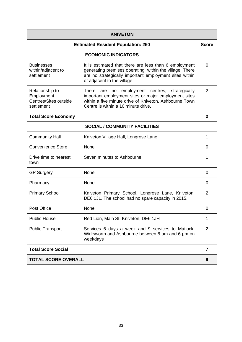| <b>KNIVETON</b>                                                      |                                                                                                                                                                                                                  |                |
|----------------------------------------------------------------------|------------------------------------------------------------------------------------------------------------------------------------------------------------------------------------------------------------------|----------------|
| <b>Estimated Resident Population: 250</b>                            |                                                                                                                                                                                                                  | <b>Score</b>   |
|                                                                      | <b>ECONOMIC INDICATORS</b>                                                                                                                                                                                       |                |
| <b>Businesses</b><br>within/adjacent to<br>settlement                | It is estimated that there are less than 6 employment<br>generating premises operating within the village. There<br>are no strategically important employment sites within<br>or adjacent to the village.        | $\Omega$       |
| Relationship to<br>Employment<br>Centres/Sites outside<br>settlement | no employment centres,<br>There<br>strategically<br>are<br>important employment sites or major employment sites<br>within a five minute drive of Kniveton. Ashbourne Town<br>Centre is within a 10 minute drive. | 2              |
| <b>Total Score Economy</b>                                           |                                                                                                                                                                                                                  | $\mathbf{2}$   |
|                                                                      | <b>SOCIAL / COMMUNITY FACILITIES</b>                                                                                                                                                                             |                |
| <b>Community Hall</b>                                                | Kniveton Village Hall, Longrose Lane                                                                                                                                                                             | 1              |
| <b>Convenience Store</b>                                             | None                                                                                                                                                                                                             | $\Omega$       |
| Drive time to nearest<br>town                                        | Seven minutes to Ashbourne                                                                                                                                                                                       | 1              |
| <b>GP Surgery</b>                                                    | None                                                                                                                                                                                                             | $\Omega$       |
| Pharmacy                                                             | None                                                                                                                                                                                                             | 0              |
| <b>Primary School</b>                                                | Kniveton Primary School, Longrose Lane, Kniveton,<br>DE6 1JL. The school had no spare capacity in 2015.                                                                                                          | 2              |
| Post Office                                                          | None                                                                                                                                                                                                             | 0              |
| <b>Public House</b>                                                  | Red Lion, Main St, Kniveton, DE6 1JH                                                                                                                                                                             | 1              |
| <b>Public Transport</b>                                              | Services 6 days a week and 9 services to Matlock,<br>Wirksworth and Ashbourne between 8 am and 6 pm on<br>weekdays                                                                                               | $\overline{2}$ |
| <b>Total Score Social</b>                                            |                                                                                                                                                                                                                  | 7              |
| <b>TOTAL SCORE OVERALL</b>                                           |                                                                                                                                                                                                                  | 9              |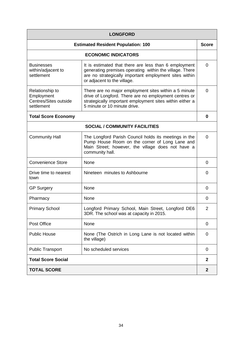| <b>LONGFORD</b>                                                      |                                                                                                                                                                                                            |                  |
|----------------------------------------------------------------------|------------------------------------------------------------------------------------------------------------------------------------------------------------------------------------------------------------|------------------|
| <b>Estimated Resident Population: 100</b>                            |                                                                                                                                                                                                            | <b>Score</b>     |
|                                                                      | <b>ECONOMIC INDICATORS</b>                                                                                                                                                                                 |                  |
| <b>Businesses</b><br>within/adjacent to<br>settlement                | It is estimated that there are less than 6 employment<br>generating premises operating within the village. There<br>are no strategically important employment sites within<br>or adjacent to the village.  | $\Omega$         |
| Relationship to<br>Employment<br>Centres/Sites outside<br>settlement | There are no major employment sites within a 5 minute<br>drive of Longford. There are no employment centres or<br>strategically important employment sites within either a<br>5 minute or 10 minute drive. | $\Omega$         |
| <b>Total Score Economy</b>                                           |                                                                                                                                                                                                            | 0                |
|                                                                      | <b>SOCIAL / COMMUNITY FACILITIES</b>                                                                                                                                                                       |                  |
| <b>Community Hall</b>                                                | The Longford Parish Council holds its meetings in the<br>Pump House Room on the corner of Long Lane and<br>Main Street; however, the village does not have a<br>community hall.                            | 0                |
| <b>Convenience Store</b>                                             | None                                                                                                                                                                                                       | 0                |
| Drive time to nearest<br>town                                        | Nineteen minutes to Ashbourne                                                                                                                                                                              | 0                |
| <b>GP Surgery</b>                                                    | None                                                                                                                                                                                                       | 0                |
| Pharmacy                                                             | None                                                                                                                                                                                                       | 0                |
| <b>Primary School</b>                                                | Longford Primary School, Main Street, Longford DE6<br>3DR. The school was at capacity in 2015.                                                                                                             | $\overline{2}$   |
| Post Office                                                          | None                                                                                                                                                                                                       | 0                |
| <b>Public House</b>                                                  | None (The Ostrich in Long Lane is not located within<br>the village)                                                                                                                                       | 0                |
| <b>Public Transport</b>                                              | No scheduled services                                                                                                                                                                                      | 0                |
| <b>Total Score Social</b>                                            |                                                                                                                                                                                                            | $\mathbf{2}$     |
| <b>TOTAL SCORE</b>                                                   |                                                                                                                                                                                                            | $\boldsymbol{2}$ |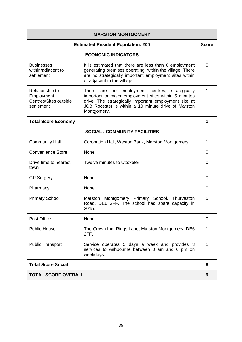| <b>MARSTON MONTGOMERY</b>                                            |                                                                                                                                                                                                                                       |              |
|----------------------------------------------------------------------|---------------------------------------------------------------------------------------------------------------------------------------------------------------------------------------------------------------------------------------|--------------|
| <b>Estimated Resident Population: 200</b>                            |                                                                                                                                                                                                                                       | <b>Score</b> |
|                                                                      | <b>ECONOMIC INDICATORS</b>                                                                                                                                                                                                            |              |
| <b>Businesses</b><br>within/adjacent to<br>settlement                | It is estimated that there are less than 6 employment<br>generating premises operating within the village. There<br>are no strategically important employment sites within<br>or adjacent to the village.                             | $\Omega$     |
| Relationship to<br>Employment<br>Centres/Sites outside<br>settlement | There are no employment centres, strategically<br>important or major employment sites within 5 minutes<br>drive. The strategically important employment site at<br>JCB Rocester is within a 10 minute drive of Marston<br>Montgomery. | 1            |
| <b>Total Score Economy</b>                                           |                                                                                                                                                                                                                                       | 1            |
|                                                                      | <b>SOCIAL / COMMUNITY FACILITIES</b>                                                                                                                                                                                                  |              |
| <b>Community Hall</b>                                                | Coronation Hall, Weston Bank, Marston Montgomery                                                                                                                                                                                      | 1            |
| <b>Convenience Store</b>                                             | None                                                                                                                                                                                                                                  | 0            |
| Drive time to nearest<br>town                                        | Twelve minutes to Uttoxeter                                                                                                                                                                                                           | $\Omega$     |
| <b>GP Surgery</b>                                                    | None                                                                                                                                                                                                                                  | 0            |
| Pharmacy                                                             | None                                                                                                                                                                                                                                  | 0            |
| <b>Primary School</b>                                                | Marston Montgomery Primary School, Thurvaston<br>Road, DE6 2FF. The school had spare capacity in<br>2015.                                                                                                                             | 5            |
| Post Office                                                          | None                                                                                                                                                                                                                                  | 0            |
| <b>Public House</b>                                                  | The Crown Inn, Riggs Lane, Marston Montgomery, DE6<br>2FF.                                                                                                                                                                            | 1            |
| <b>Public Transport</b>                                              | Service operates 5 days a week and provides 3<br>services to Ashbourne between 8 am and 6 pm on<br>weekdays.                                                                                                                          | 1            |
| <b>Total Score Social</b>                                            |                                                                                                                                                                                                                                       | 8            |
| <b>TOTAL SCORE OVERALL</b>                                           |                                                                                                                                                                                                                                       | 9            |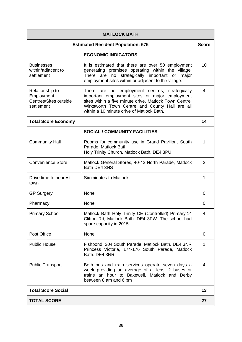| <b>MATLOCK BATH</b>                                                  |                                                                                                                                                                                                                                                           |                |
|----------------------------------------------------------------------|-----------------------------------------------------------------------------------------------------------------------------------------------------------------------------------------------------------------------------------------------------------|----------------|
| <b>Estimated Resident Population: 675</b>                            |                                                                                                                                                                                                                                                           | <b>Score</b>   |
|                                                                      | <b>ECONOMIC INDICATORS</b>                                                                                                                                                                                                                                |                |
| <b>Businesses</b><br>within/adjacent to<br>settlement                | It is estimated that there are over 50 employment<br>generating premises operating within the village.<br>no strategically important or<br>There are<br>major<br>employment sites within or adjacent to the village.                                      | 10             |
| Relationship to<br>Employment<br>Centres/Sites outside<br>settlement | There are no employment centres, strategically<br>important employment sites or major employment<br>sites within a five minute drive. Matlock Town Centre,<br>Wirksworth Town Centre and County Hall are all<br>within a 10 minute drive of Matlock Bath. | 4              |
| <b>Total Score Economy</b>                                           |                                                                                                                                                                                                                                                           | 14             |
|                                                                      | <b>SOCIAL / COMMUNITY FACILITIES</b>                                                                                                                                                                                                                      |                |
| <b>Community Hall</b>                                                | Rooms for community use in Grand Pavilion, South<br>Parade, Matlock Bath<br>Holy Trinity Church, Matlock Bath, DE4 3PU                                                                                                                                    | 1              |
| <b>Convenience Store</b>                                             | Matlock General Stores, 40-42 North Parade, Matlock<br>Bath DE4 3NS                                                                                                                                                                                       | 2              |
| Drive time to nearest<br>town                                        | Six minutes to Matlock                                                                                                                                                                                                                                    | 1              |
| <b>GP Surgery</b>                                                    | None                                                                                                                                                                                                                                                      | 0              |
| Pharmacy                                                             | None                                                                                                                                                                                                                                                      | 0              |
| <b>Primary School</b>                                                | Matlock Bath Holy Trinity CE (Controlled) Primary.14<br>Clifton Rd, Matlock Bath, DE4 3PW. The school had<br>spare capacity in 2015.                                                                                                                      | $\overline{4}$ |
| Post Office                                                          | None                                                                                                                                                                                                                                                      | $\Omega$       |
| <b>Public House</b>                                                  | Fishpond, 204 South Parade, Matlock Bath. DE4 3NR<br>Princess Victoria, 174-176 South Parade, Matlock<br>Bath. DE4 3NR                                                                                                                                    | 1              |
| <b>Public Transport</b>                                              | Both bus and train services operate seven days a<br>week providing an average of at least 2 buses or<br>trains an hour to Bakewell, Matlock and Derby<br>between 8 am and 6 pm                                                                            | 4              |
| <b>Total Score Social</b>                                            |                                                                                                                                                                                                                                                           | 13             |
| <b>TOTAL SCORE</b>                                                   |                                                                                                                                                                                                                                                           | 27             |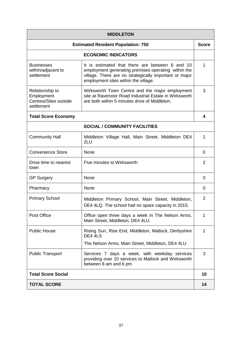| <b>MIDDLETON</b>                                                     |                                                                                                                                                                                                          |              |
|----------------------------------------------------------------------|----------------------------------------------------------------------------------------------------------------------------------------------------------------------------------------------------------|--------------|
|                                                                      | <b>Estimated Resident Population: 750</b>                                                                                                                                                                | <b>Score</b> |
|                                                                      | <b>ECONOMIC INDICATORS</b>                                                                                                                                                                               |              |
| <b>Businesses</b><br>within/adjacent to<br>settlement                | It is estimated that there are between 6 and 10<br>employment generating premises operating within the<br>village. There are no strategically important or major<br>employment sites within the village. | 1            |
| Relationship to<br>Employment<br>Centres/Sites outside<br>settlement | Wirksworth Town Centre and the major employment<br>site at Ravenstor Road Industrial Estate in Wirksworth<br>are both within 5 minutes drive of Middleton.                                               | 3            |
| <b>Total Score Economy</b>                                           |                                                                                                                                                                                                          | 4            |
|                                                                      | <b>SOCIAL / COMMUNITY FACILITIES</b>                                                                                                                                                                     |              |
| <b>Community Hall</b>                                                | Middleton Village Hall, Main Street, Middleton DE4<br>2LU                                                                                                                                                | 1            |
| <b>Convenience Store</b>                                             | None                                                                                                                                                                                                     | 0            |
| Drive time to nearest<br>town                                        | Five minutes to Wirksworth                                                                                                                                                                               | 2            |
| <b>GP Surgery</b>                                                    | None                                                                                                                                                                                                     | 0            |
| Pharmacy                                                             | None                                                                                                                                                                                                     | 0            |
| <b>Primary School</b>                                                | Middleton Primary School, Main Street, Middleton,<br>DE4 4LQ. The school had no spare capacity in 2015.                                                                                                  | 2            |
| Post Office                                                          | Office open three days a week in The Nelson Arms,<br>Main Street, Middleton, DE4 4LU.                                                                                                                    | 1            |
| <b>Public House</b>                                                  | Rising Sun, Rise End, Middleton, Matlock, Derbyshire<br>DE4 4LS<br>The Nelson Arms, Main Street, Middleton, DE4 4LU                                                                                      | 1            |
| <b>Public Transport</b>                                              | Services 7 days a week, with weekday services<br>providing over 10 services to Matlock and Wirksworth<br>between 8 am and 6 pm                                                                           | 3            |
| <b>Total Score Social</b>                                            |                                                                                                                                                                                                          | 10           |
| <b>TOTAL SCORE</b>                                                   |                                                                                                                                                                                                          | 14           |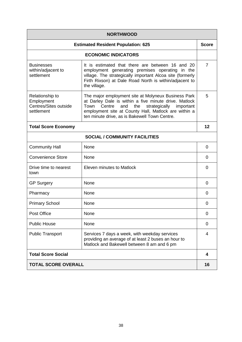| <b>NORTHWOOD</b>                                                     |                                                                                                                                                                                                                                                                                     |              |
|----------------------------------------------------------------------|-------------------------------------------------------------------------------------------------------------------------------------------------------------------------------------------------------------------------------------------------------------------------------------|--------------|
|                                                                      | <b>Estimated Resident Population: 625</b>                                                                                                                                                                                                                                           | <b>Score</b> |
|                                                                      | <b>ECONOMIC INDICATORS</b>                                                                                                                                                                                                                                                          |              |
| <b>Businesses</b><br>within/adjacent to<br>settlement                | It is estimated that there are between 16 and 20<br>employment generating premises operating in the<br>village. The strategically important Alcoa site (formerly<br>Firth Rixson) at Dale Road North is within/adjacent to<br>the village.                                          | 7            |
| Relationship to<br>Employment<br>Centres/Sites outside<br>settlement | The major employment site at Molyneux Business Park<br>at Darley Dale is within a five minute drive. Matlock<br>the<br>Town<br>Centre<br>and<br>strategically<br>important<br>employment site at County Hall, Matlock are within a<br>ten minute drive, as is Bakewell Town Centre. | 5            |
| <b>Total Score Economy</b>                                           |                                                                                                                                                                                                                                                                                     | 12           |
|                                                                      | <b>SOCIAL / COMMUNITY FACILITIES</b>                                                                                                                                                                                                                                                |              |
| <b>Community Hall</b>                                                | <b>None</b>                                                                                                                                                                                                                                                                         | 0            |
| <b>Convenience Store</b>                                             | None                                                                                                                                                                                                                                                                                | 0            |
| Drive time to nearest<br>town                                        | Eleven minutes to Matlock                                                                                                                                                                                                                                                           | 0            |
| <b>GP Surgery</b>                                                    | None                                                                                                                                                                                                                                                                                | 0            |
| Pharmacy                                                             | None                                                                                                                                                                                                                                                                                | 0            |
| <b>Primary School</b>                                                | None                                                                                                                                                                                                                                                                                | 0            |
| Post Office                                                          | None                                                                                                                                                                                                                                                                                | 0            |
| <b>Public House</b>                                                  | None                                                                                                                                                                                                                                                                                | 0            |
| <b>Public Transport</b>                                              | Services 7 days a week, with weekday services<br>providing an average of at least 2 buses an hour to<br>Matlock and Bakewell between 8 am and 6 pm                                                                                                                                  | 4            |
| <b>Total Score Social</b>                                            |                                                                                                                                                                                                                                                                                     | 4            |
| <b>TOTAL SCORE OVERALL</b>                                           |                                                                                                                                                                                                                                                                                     | 16           |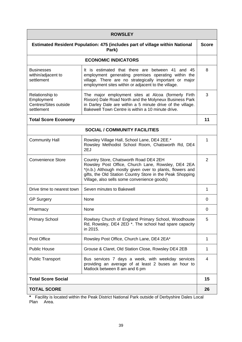| <b>ROWSLEY</b>                                                                               |                                                                                                                                                                                                                                                                       |              |
|----------------------------------------------------------------------------------------------|-----------------------------------------------------------------------------------------------------------------------------------------------------------------------------------------------------------------------------------------------------------------------|--------------|
| <b>Estimated Resident Population: 475 (includes part of village within National</b><br>Park) |                                                                                                                                                                                                                                                                       | <b>Score</b> |
|                                                                                              | <b>ECONOMIC INDICATORS</b>                                                                                                                                                                                                                                            |              |
| <b>Businesses</b><br>within/adjacent to<br>settlement                                        | It is estimated that there are between 41 and 45<br>employment generating premises operating within the<br>village. There are no strategically important or major<br>employment sites within or adjacent to the village.                                              | 8            |
| Relationship to<br>Employment<br>Centres/Sites outside<br>settlement                         | The major employment sites at Alcoa (formerly Firth<br>Rixson) Dale Road North and the Molyneux Business Park<br>in Darley Dale are within a 5 minute drive of the village.<br>Bakewell Town Centre is within a 10 minute drive.                                      | 3            |
| <b>Total Score Economy</b>                                                                   |                                                                                                                                                                                                                                                                       | 11           |
|                                                                                              | <b>SOCIAL / COMMUNITY FACILITIES</b>                                                                                                                                                                                                                                  |              |
| <b>Community Hall</b>                                                                        | Rowsley Village Hall, School Lane, DE4 2EE.*<br>Rowsley Methodist School Room, Chatsworth Rd, DE4<br>2EJ                                                                                                                                                              | 1            |
| <b>Convenience Store</b>                                                                     | Country Store, Chatsworth Road DE4 2EH<br>Rowsley Post Office, Church Lane, Rowsley, DE4 2EA<br>*(n.b.) Although mostly given over to plants, flowers and<br>gifts, the Old Station Country Store in the Peak Shopping<br>Village, also sells some convenience goods) | 2            |
| Drive time to nearest town                                                                   | Seven minutes to Bakewell                                                                                                                                                                                                                                             | 1            |
| <b>GP Surgery</b>                                                                            | None                                                                                                                                                                                                                                                                  | 0            |
| Pharmacy                                                                                     | None                                                                                                                                                                                                                                                                  | 0            |
| <b>Primary School</b>                                                                        | Rowlsey Church of England Primary School, Woodhouse<br>Rd, Rowsley, DE4 2ED *. The school had spare capacity<br>in 2015.                                                                                                                                              | 5            |
| Post Office                                                                                  | Rowsley Post Office, Church Lane, DE4 2EA*                                                                                                                                                                                                                            | 1            |
| <b>Public House</b>                                                                          | Grouse & Claret, Old Station Close, Rowsley DE4 2EB                                                                                                                                                                                                                   | 1            |
| <b>Public Transport</b>                                                                      | Bus services 7 days a week, with weekday services<br>providing an average of at least 2 buses an hour to<br>Matlock between 8 am and 6 pm                                                                                                                             | 4            |
| <b>Total Score Social</b>                                                                    |                                                                                                                                                                                                                                                                       | 15           |
| <b>TOTAL SCORE</b>                                                                           |                                                                                                                                                                                                                                                                       | 26           |

**\*** Facility is located within the Peak District National Park outside of Derbyshire Dales Local Plan Area.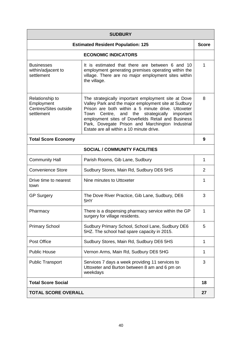| <b>SUDBURY</b>                                                       |                                                                                                                                                                                                                                                                                                                                                                                  |                |
|----------------------------------------------------------------------|----------------------------------------------------------------------------------------------------------------------------------------------------------------------------------------------------------------------------------------------------------------------------------------------------------------------------------------------------------------------------------|----------------|
|                                                                      | <b>Estimated Resident Population: 125</b>                                                                                                                                                                                                                                                                                                                                        | <b>Score</b>   |
|                                                                      | <b>ECONOMIC INDICATORS</b>                                                                                                                                                                                                                                                                                                                                                       |                |
| <b>Businesses</b><br>within/adjacent to<br>settlement                | It is estimated that there are between 6 and 10<br>employment generating premises operating within the<br>village. There are no major employment sites within<br>the village.                                                                                                                                                                                                    | 1              |
| Relationship to<br>Employment<br>Centres/Sites outside<br>settlement | The strategically important employment site at Dove<br>Valley Park and the major employment site at Sudbury<br>Prison are both within a 5 minute drive. Uttoxeter<br>Town<br>Centre,<br>and the<br>strategically important<br>employment sites of Dovefields Retail and Business<br>Park, Dovegate Prison and Marchington Industrial<br>Estate are all within a 10 minute drive. | 8              |
| <b>Total Score Economy</b>                                           |                                                                                                                                                                                                                                                                                                                                                                                  | 9              |
|                                                                      | <b>SOCIAL / COMMUNITY FACILITIES</b>                                                                                                                                                                                                                                                                                                                                             |                |
| <b>Community Hall</b>                                                | Parish Rooms, Gib Lane, Sudbury                                                                                                                                                                                                                                                                                                                                                  | 1              |
| <b>Convenience Store</b>                                             | Sudbury Stores, Main Rd, Sudbury DE6 5HS                                                                                                                                                                                                                                                                                                                                         | $\overline{2}$ |
| Drive time to nearest<br>town                                        | Nine minutes to Uttoxeter                                                                                                                                                                                                                                                                                                                                                        | 1              |
| <b>GP Surgery</b>                                                    | The Dove River Practice, Gib Lane, Sudbury, DE6<br>5HY                                                                                                                                                                                                                                                                                                                           | 3              |
| Pharmacy                                                             | There is a dispensing pharmacy service within the GP<br>surgery for village residents.                                                                                                                                                                                                                                                                                           | 1              |
| <b>Primary School</b>                                                | Sudbury Primary School, School Lane, Sudbury DE6<br>5HZ. The school had spare capacity in 2015.                                                                                                                                                                                                                                                                                  | 5              |
| Post Office                                                          | Sudbury Stores, Main Rd, Sudbury DE6 5HS                                                                                                                                                                                                                                                                                                                                         | 1              |
| <b>Public House</b>                                                  | Vernon Arms, Main Rd, Sudbury DE6 5HG                                                                                                                                                                                                                                                                                                                                            | 1              |
| <b>Public Transport</b>                                              | Services 7 days a week providing 11 services to<br>Uttoxeter and Burton between 8 am and 6 pm on<br>weekdays                                                                                                                                                                                                                                                                     | 3              |
| <b>Total Score Social</b>                                            |                                                                                                                                                                                                                                                                                                                                                                                  | 18             |
| <b>TOTAL SCORE OVERALL</b>                                           |                                                                                                                                                                                                                                                                                                                                                                                  | 27             |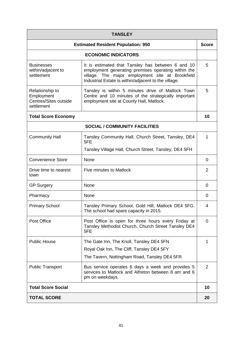| <b>TANSLEY</b>                                                       |                                                                                                                                                                                                                      |                |
|----------------------------------------------------------------------|----------------------------------------------------------------------------------------------------------------------------------------------------------------------------------------------------------------------|----------------|
| <b>Estimated Resident Population: 950</b>                            |                                                                                                                                                                                                                      | <b>Score</b>   |
|                                                                      | <b>ECONOMIC INDICATORS</b>                                                                                                                                                                                           |                |
| <b>Businesses</b><br>within/adjacent to<br>settlement                | It is estimated that Tansley has between 6 and 10<br>employment generating premises operating within the<br>village. The major employment site at Brookfield<br>Industrial Estate is within/adjacent to the village. | 5              |
| Relationship to<br>Employment<br>Centres/Sites outside<br>settlement | Tansley is within 5 minutes drive of Matlock Town<br>Centre and 10 minutes of the strategically important<br>employment site at County Hall, Matlock.                                                                | 5              |
| <b>Total Score Economy</b>                                           |                                                                                                                                                                                                                      | 10             |
|                                                                      | <b>SOCIAL / COMMUNITY FACILITIES</b>                                                                                                                                                                                 |                |
| <b>Community Hall</b>                                                | Tansley Community Hall, Church Street, Tansley, DE4<br>5FE                                                                                                                                                           | 1              |
|                                                                      | Tansley Village Hall, Church Street, Tansley, DE4 5FH                                                                                                                                                                |                |
| <b>Convenience Store</b>                                             | None                                                                                                                                                                                                                 | 0              |
| Drive time to nearest<br>town                                        | Five minutes to Matlock                                                                                                                                                                                              | $\overline{2}$ |
| <b>GP Surgery</b>                                                    | None                                                                                                                                                                                                                 | 0              |
| Pharmacy                                                             | None                                                                                                                                                                                                                 | 0              |
| <b>Primary School</b>                                                | Tansley Primary School, Gold Hill, Matlock DE4 5FG.<br>The school had spare capacity in 2015.                                                                                                                        | 4              |
| Post Office                                                          | Post Office is open for three hours every Friday at<br>Tansley Methodist Church, Church Street Tansley DE4<br>5FE                                                                                                    | $\Omega$       |
| <b>Public House</b>                                                  | The Gate Inn, The Knoll, Tansley DE4 5FN                                                                                                                                                                             | 1              |
|                                                                      | Royal Oak Inn, The Cliff, Tansley DE4 5FY                                                                                                                                                                            |                |
|                                                                      | The Tavern, Nottingham Road, Tansley DE4 5FR                                                                                                                                                                         |                |
| <b>Public Transport</b>                                              | Bus service operates 6 days a week and provides 5<br>services to Matlock and Alfreton between 8 am and 6<br>pm on weekdays.                                                                                          | 2              |
| <b>Total Score Social</b>                                            |                                                                                                                                                                                                                      | 10             |
| <b>TOTAL SCORE</b>                                                   |                                                                                                                                                                                                                      | 20             |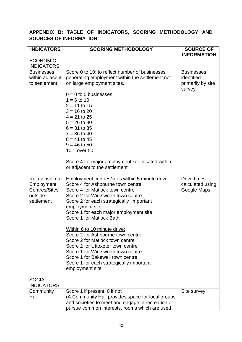# **APPENDIX B: TABLE OF INDICATORS, SCORING METHODOLOGY AND SOURCES OF INFORMATION**

| <b>INDICATORS</b>                                                              | <b>SCORING METHODOLOGY</b>                                                                                                                                                                                                                                                                                                                                                                                                                                                                                                                                                               | <b>SOURCE OF</b><br><b>INFORMATION</b>                          |
|--------------------------------------------------------------------------------|------------------------------------------------------------------------------------------------------------------------------------------------------------------------------------------------------------------------------------------------------------------------------------------------------------------------------------------------------------------------------------------------------------------------------------------------------------------------------------------------------------------------------------------------------------------------------------------|-----------------------------------------------------------------|
| <b>ECONOMIC</b><br><b>INDICATORS</b>                                           |                                                                                                                                                                                                                                                                                                                                                                                                                                                                                                                                                                                          |                                                                 |
| <b>Businesses</b><br>within adjacent<br>to settlement                          | Score 0 to 10: to reflect number of businesses<br>generating employment within the settlement not<br>on large employment sites.                                                                                                                                                                                                                                                                                                                                                                                                                                                          | <b>Businesses</b><br>identified<br>primarily by site<br>survey. |
|                                                                                | $0 = 0$ to 5 businesses<br>$1 = 6$ to 10<br>$2 = 11$ to 15<br>$3 = 16$ to 20<br>$4 = 21$ to 25<br>$5 = 26$ to 30<br>$6 = 31$ to 35<br>$7 = 36$ to 40<br>$8 = 41$ to 45<br>$9 = 46$ to 50<br>$10 = over 50$<br>Score 4 for major employment site located within<br>or adjacent to the settlement.                                                                                                                                                                                                                                                                                         |                                                                 |
| Relationship to<br>Employment<br><b>Centres/Sites</b><br>outside<br>settlement | Employment centres/sites within 5 minute drive:<br>Score 4 for Ashbourne town centre<br>Score 4 for Matlock town centre<br>Score 2 for Wirksworth town centre<br>Score 2 for each strategically important<br>employment site<br>Score 1 for each major employment site<br>Score 1 for Matlock Bath<br>Within 6 to 10 minute drive:<br>Score 2 for Ashbourne town centre<br>Score 2 for Matlock town centre<br>Score 2 for Uttoxeter town centre<br>Score 1 for Wirksworth town centre<br>Score 1 for Bakewell town centre<br>Score 1 for each strategically important<br>employment site | Drive times<br>calculated using<br>Google Maps                  |
| <b>SOCIAL</b><br><b>INDICATORS</b>                                             |                                                                                                                                                                                                                                                                                                                                                                                                                                                                                                                                                                                          |                                                                 |
| Community<br>Hall                                                              | Score 1 if present, 0 if not<br>(A Community Hall provides space for local groups<br>and societies to meet and engage in recreation or<br>pursue common interests, rooms which are used                                                                                                                                                                                                                                                                                                                                                                                                  | Site survey                                                     |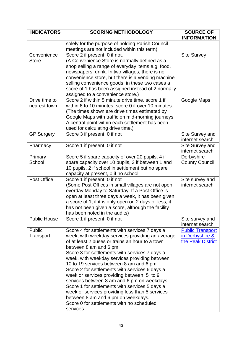| <b>INDICATORS</b>             | <b>SCORING METHODOLOGY</b>                                                                                                                                                                                                                                                                                                                                                                                                                                                                                                                                                                                                                                                      | <b>SOURCE OF</b><br><b>INFORMATION</b>                          |
|-------------------------------|---------------------------------------------------------------------------------------------------------------------------------------------------------------------------------------------------------------------------------------------------------------------------------------------------------------------------------------------------------------------------------------------------------------------------------------------------------------------------------------------------------------------------------------------------------------------------------------------------------------------------------------------------------------------------------|-----------------------------------------------------------------|
|                               | solely for the purpose of holding Parish Council<br>meetings are not included within this term)                                                                                                                                                                                                                                                                                                                                                                                                                                                                                                                                                                                 |                                                                 |
| Convenience<br><b>Store</b>   | Score 2 if present, 0 if not.<br>(A Convenience Store is normally defined as a<br>shop selling a range of everyday items e.g. food,<br>newspapers, drink. In two villages, there is no<br>convenience store, but there is a vending machine<br>selling convenience goods, in these two cases a<br>score of 1 has been assigned instead of 2 normally<br>assigned to a convenience store.)                                                                                                                                                                                                                                                                                       | <b>Site Survey</b>                                              |
| Drive time to<br>nearest town | Score 2 if within 5 minute drive time, score 1 if<br>within 6 to 10 minutes, score 0 if over 10 minutes.<br>(The times shown are drive times estimated by<br>Google Maps with traffic on mid-morning journeys.<br>A central point within each settlement has been<br>used for calculating drive time.)                                                                                                                                                                                                                                                                                                                                                                          | Google Maps                                                     |
| <b>GP Surgery</b>             | Score 3 if present, 0 if not                                                                                                                                                                                                                                                                                                                                                                                                                                                                                                                                                                                                                                                    | Site Survey and<br>internet search                              |
| Pharmacy                      | Score 1 if present, 0 if not                                                                                                                                                                                                                                                                                                                                                                                                                                                                                                                                                                                                                                                    | Site Survey and<br>internet search                              |
| Primary<br>School             | Score 5 if spare capacity of over 20 pupils, 4 if<br>spare capacity over 10 pupils, 3 if between 1 and<br>10 pupils, 2 if school in settlement but no spare<br>capacity at present, 0 if no school.                                                                                                                                                                                                                                                                                                                                                                                                                                                                             | Derbyshire<br><b>County Council</b>                             |
| Post Office                   | Score 1 if present, 0 if not<br>(Some Post Offices in small villages are not open<br>everday Monday to Saturday. If a Post Office is<br>open at least three days a week, it has been given<br>a score of 1, if it is only open on 2 days or less, it<br>has not been given a score, although the facility<br>has been noted in the audits)                                                                                                                                                                                                                                                                                                                                      | Site survey and<br>internet search                              |
| <b>Public House</b>           | Score 1 if present, 0 if not                                                                                                                                                                                                                                                                                                                                                                                                                                                                                                                                                                                                                                                    | Site survey and<br>internet search                              |
| Public<br>Transport           | Score 4 for settlements with services 7 days a<br>week, with weekday services providing an average<br>of at least 2 buses or trains an hour to a town<br>between 8 am and 6 pm<br>Score 3 for settlements with services 7 days a<br>week, with weekday services providing between<br>10 to 19 services between 8 am and 6 pm<br>Score 2 for settlements with services 6 days a<br>week or services providing between 5 to 9<br>services between 8 am and 6 pm on weekdays.<br>Score 1 for settlements with services 5 days a<br>week or services providing less than 5 services<br>between 8 am and 6 pm on weekdays.<br>Score 0 for settlements with no scheduled<br>services. | <b>Public Transport</b><br>in Derbyshire &<br>the Peak District |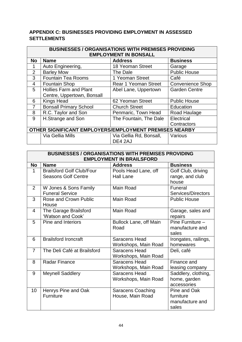# **APPENDIX C: BUSINESSES PROVIDING EMPLOYMENT IN ASSESSED SETTLEMENTS**

|    | <b>BUSINESSES / ORGANISATIONS WITH PREMISES PROVIDING</b> |                              |                         |  |
|----|-----------------------------------------------------------|------------------------------|-------------------------|--|
|    |                                                           | <b>EMPLOYMENT IN BONSALL</b> |                         |  |
| No | <b>Name</b>                                               | <b>Address</b>               | <b>Business</b>         |  |
|    | Auto Engineering,                                         | 18 Yeoman Street             | Garage                  |  |
| 2  | <b>Barley Mow</b>                                         | The Dale                     | <b>Public House</b>     |  |
| 3  | <b>Fountain Tea Rooms</b>                                 | 1 Yeoman Street              | Café                    |  |
| 4  | <b>Fountain Shop</b>                                      | Rear 1 Yeoman Street         | <b>Convenience Shop</b> |  |
| 5  | <b>Hollies Farm and Plant</b>                             | Abel Lane, Uppertown         | <b>Garden Centre</b>    |  |
|    | Centre, Uppertown, Bonsall                                |                              |                         |  |
| 6  | <b>Kings Head</b>                                         | 62 Yeoman Street             | <b>Public House</b>     |  |
| 7  | <b>Bonsall Primary School</b>                             | <b>Church Street</b>         | Education               |  |
| 8  | R.C. Taylor and Son                                       | Penmaric, Town Head          | Road Haulage            |  |
| 9  | H.Strange and Son                                         | The Fountain, The Dale       | Electrical              |  |
|    |                                                           |                              | Contractors             |  |
|    | OTHER SIGNIFICANT EMPLOYERS/EMPLOYMENT PREMISES NEARBY    |                              |                         |  |
|    | Via Gellia Mills                                          | Via Gellia Rd, Bonsall,      | Various                 |  |
|    |                                                           | DE4 2AJ                      |                         |  |

| <b>BUSINESSES / ORGANISATIONS WITH PREMISES PROVIDING</b> |                                  |                               |                      |
|-----------------------------------------------------------|----------------------------------|-------------------------------|----------------------|
| <b>EMPLOYMENT IN BRAILSFORD</b>                           |                                  |                               |                      |
| No                                                        | <b>Name</b>                      | <b>Address</b>                | <b>Business</b>      |
| 1                                                         | <b>Brailsford Golf Club/Four</b> | Pools Head Lane, off          | Golf Club, driving   |
|                                                           | <b>Seasons Golf Centre</b>       | <b>Hall Lane</b>              | range, and club      |
|                                                           |                                  |                               | house                |
| 2                                                         | W Jones & Sons Family            | Main Road                     | Funeral              |
|                                                           | <b>Funeral Service</b>           |                               | Services/Directors   |
| 3                                                         | Rose and Crown Public            | Main Road                     | <b>Public House</b>  |
|                                                           | House                            |                               |                      |
| $\overline{4}$                                            | The Garage Brailsford            | Main Road                     | Garage, sales and    |
|                                                           | 'Watson and Cook'                |                               | repairs              |
| 5                                                         | Pine and Interiors               | <b>Bullock Lane, off Main</b> | Pine Furniture -     |
|                                                           |                                  | Road                          | manufacture and      |
|                                                           |                                  |                               | sales                |
| 6                                                         | <b>Brailsford Ironcraft</b>      | <b>Saracens Head</b>          | Irongates, railings, |
|                                                           |                                  | Workshops, Main Road          | homewares            |
| $\overline{7}$                                            | The Deli Café at Brailsford      | <b>Saracens Head</b>          | Deli, café           |
|                                                           |                                  | Workshops, Main Road          |                      |
| 8                                                         | <b>Radar Finance</b>             | Saracens Head                 | Finance and          |
|                                                           |                                  | Workshops, Main Road          | leasing company      |
| 9                                                         | <b>Meynell Saddlery</b>          | <b>Saracens Head</b>          | Saddlery, clothing,  |
|                                                           |                                  | Workshops, Main Road          | home, garden         |
|                                                           |                                  |                               | accessories          |
| 10                                                        | Henrys Pine and Oak              | <b>Saracens Coaching</b>      | Pine and Oak         |
|                                                           | <b>Furniture</b>                 | House, Main Road              | furniture            |
|                                                           |                                  |                               | manufacture and      |
|                                                           |                                  |                               | sales                |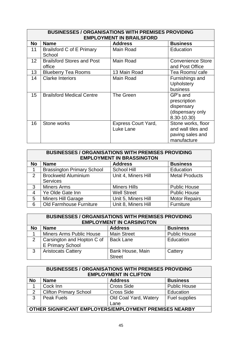| <b>BUSINESSES / ORGANISATIONS WITH PREMISES PROVIDING</b><br><b>EMPLOYMENT IN BRAILSFORD</b> |                                             |                                         |                                                                             |
|----------------------------------------------------------------------------------------------|---------------------------------------------|-----------------------------------------|-----------------------------------------------------------------------------|
| <b>No</b>                                                                                    | <b>Name</b>                                 | <b>Address</b>                          | <b>Business</b>                                                             |
| 11                                                                                           | Brailsford C of E Primary<br>School         | <b>Main Road</b>                        | Education                                                                   |
| 12 <sup>2</sup>                                                                              | <b>Brailsford Stores and Post</b><br>office | <b>Main Road</b>                        | <b>Convenience Store</b><br>and Post Office                                 |
| 13                                                                                           | <b>Blueberry Tea Rooms</b>                  | 13 Main Road                            | Tea Rooms/ cafe                                                             |
| 14                                                                                           | <b>Clarke Interiors</b>                     | <b>Main Road</b>                        | Furnishings and<br>Upholstery<br>business                                   |
| 15                                                                                           | <b>Brailsford Medical Centre</b>            | The Green                               | GP's and<br>prescription<br>dispensary<br>(dispensary only<br>8.30-10.30)   |
| 16                                                                                           | Stone works                                 | <b>Express Court Yard,</b><br>Luke Lane | Stone works, floor<br>and wall tiles and<br>paving sales and<br>manufacture |

| <b>BUSINESSES / ORGANISATIONS WITH PREMISES PROVIDING</b><br><b>EMPLOYMENT IN BRASSINGTON</b> |                                                  |                     |                       |  |  |
|-----------------------------------------------------------------------------------------------|--------------------------------------------------|---------------------|-----------------------|--|--|
| <b>No</b>                                                                                     | <b>Address</b><br><b>Business</b><br><b>Name</b> |                     |                       |  |  |
| 1                                                                                             | <b>Brassington Primary School</b>                | <b>School Hill</b>  | Education             |  |  |
| $\mathcal{P}$                                                                                 | <b>Brockweld Aluminium</b>                       | Unit 4, Miners Hill | <b>Metal Products</b> |  |  |
|                                                                                               | <b>Services</b>                                  |                     |                       |  |  |
| $\mathbf{3}$                                                                                  | <b>Miners Arms</b>                               | <b>Miners Hills</b> | <b>Public House</b>   |  |  |
| $\overline{4}$                                                                                | Ye Olde Gate Inn                                 | <b>Well Street</b>  | <b>Public House</b>   |  |  |
| 5                                                                                             | <b>Miners Hill Garage</b>                        | Unit 5, Miners Hill | <b>Motor Repairs</b>  |  |  |
| 6                                                                                             | Old Farmhouse Furniture                          | Unit 8, Miners Hill | Furniture             |  |  |

| <b>BUSINESSES / ORGANISATIONS WITH PREMISES PROVIDING</b><br><b>EMPLOYMENT IN CARSINGTON</b> |                                                  |                         |                     |  |
|----------------------------------------------------------------------------------------------|--------------------------------------------------|-------------------------|---------------------|--|
| <b>No</b>                                                                                    | <b>Address</b><br><b>Business</b><br><b>Name</b> |                         |                     |  |
|                                                                                              | <b>Miners Arms Public House</b>                  | <b>Main Street</b>      | <b>Public House</b> |  |
| $\mathcal{P}$                                                                                | Carsington and Hopton C of                       | <b>Back Lane</b>        | Education           |  |
|                                                                                              | <b>E Primary School</b>                          |                         |                     |  |
| 3                                                                                            | <b>Aristocats Cattery</b>                        | <b>Bank House, Main</b> | Cattery             |  |
|                                                                                              |                                                  | <b>Street</b>           |                     |  |

| <b>BUSINESSES / ORGANISATIONS WITH PREMISES PROVIDING</b><br><b>EMPLOYMENT IN CLIFTON</b> |                                                  |                       |                     |  |  |
|-------------------------------------------------------------------------------------------|--------------------------------------------------|-----------------------|---------------------|--|--|
| <b>No</b>                                                                                 | <b>Business</b><br><b>Address</b><br><b>Name</b> |                       |                     |  |  |
|                                                                                           | Cock Inn                                         | <b>Cross Side</b>     | <b>Public House</b> |  |  |
| 2                                                                                         | <b>Clifton Primary School</b>                    | <b>Cross Side</b>     | Education           |  |  |
| 3                                                                                         | <b>Peak Fuels</b>                                | Old Coal Yard, Watery | Fuel supplies       |  |  |
| Lane                                                                                      |                                                  |                       |                     |  |  |
| OTHER SIGNIFICANT EMPLOYERS/EMPLOYMENT PREMISES NEARBY                                    |                                                  |                       |                     |  |  |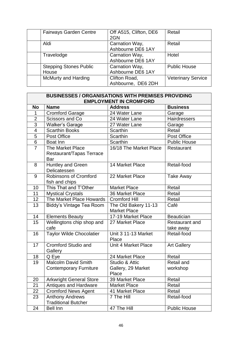| <b>Fairways Garden Centre</b> | Off A515, Clifton, DE6 | Retail                    |
|-------------------------------|------------------------|---------------------------|
|                               | 2GN                    |                           |
| Aldi                          | Carnation Way,         | Retail                    |
|                               | Ashbourne DE6 1AY      |                           |
| Travelodge                    | Carnation Way,         | Hotel                     |
|                               | Ashbourne DE6 1AY      |                           |
| <b>Stepping Stones Public</b> | Carnation Way,         | <b>Public House</b>       |
| House                         | Ashbourne DE6 1AY      |                           |
| <b>McMurty and Harding</b>    | Clifton Road,          | <b>Veterinary Service</b> |
|                               | Ashbourne, DE6 2DH     |                           |

| <b>BUSINESSES / ORGANISATIONS WITH PREMISES PROVIDING</b> |                                                             |                                               |                                    |  |
|-----------------------------------------------------------|-------------------------------------------------------------|-----------------------------------------------|------------------------------------|--|
|                                                           | <b>EMPLOYMENT IN CROMFORD</b>                               |                                               |                                    |  |
| <b>No</b>                                                 | <b>Name</b>                                                 | <b>Address</b>                                | <b>Business</b>                    |  |
| 1                                                         | <b>Cromford Garage</b>                                      | 24 Water Lane                                 | Garage                             |  |
| $\overline{2}$                                            | Scissors and Co                                             | 24 Water Lane                                 | Hairdressers                       |  |
| $\overline{3}$                                            | <b>Walker's Garage</b>                                      | 27 Water Lane                                 | Garage                             |  |
| $\overline{\mathbf{4}}$                                   | <b>Scarthin Books</b>                                       | Scarthin                                      | Retail                             |  |
| $\overline{5}$                                            | Post Office                                                 | Scarthin                                      | Post Office                        |  |
| $\overline{6}$                                            | <b>Boat Inn</b>                                             | Scarthin                                      | <b>Public House</b>                |  |
| $\overline{7}$                                            | <b>The Market Place</b><br>Restaurant/Tapas Terrace<br>Bar  | 16/18 The Market Place                        | Restaurant                         |  |
| 8                                                         | <b>Huntley and Green</b><br>Delicatessen                    | 14 Market Place                               | Retail-food                        |  |
| 9                                                         | <b>Robinsons of Cromford</b><br>fish and chips              | 22 Market Place                               | Take Away                          |  |
| 10                                                        | This That and T'Other                                       | <b>Market Place</b>                           | Retail                             |  |
| 11                                                        | <b>Mystical Crystals</b>                                    | 36 Market Place                               | Retail                             |  |
| 12                                                        | The Market Place Howards                                    | <b>Cromford Hill</b>                          | Retail                             |  |
| 13                                                        | Biddy's Vintage Tea Room                                    | The Old Bakery 11-13<br><b>Market Place</b>   | Café                               |  |
| 14                                                        | <b>Elements Beauty</b>                                      | 17-19 Market Place                            | <b>Beautician</b>                  |  |
| 15                                                        | Wellingtons chip shop and<br>cafe                           | 27 Market Place                               | <b>Restaurant and</b><br>take away |  |
| 16                                                        | <b>Taylor Wilde Chocolatier</b>                             | <b>Unit 3 11-13 Market</b><br>Place           | Retail-food                        |  |
| 17                                                        | <b>Cromford Studio and</b><br>Gallery                       | <b>Unit 4 Market Place</b>                    | <b>Art Gallery</b>                 |  |
| 18                                                        | Q Eye                                                       | 24 Market Place                               | Retail                             |  |
| 19                                                        | <b>Malcolm David Smith</b><br><b>Contemporary Furniture</b> | Studio & Attic<br>Gallery, 29 Market<br>Place | Retail and<br>workshop             |  |
| 20                                                        | <b>Arkwright General Store</b>                              | 39 Market Place                               | Retail                             |  |
| 21                                                        | Antiques and Hardware                                       | <b>Market Place</b>                           | Retail                             |  |
| 22                                                        | <b>Cromford News Agent</b>                                  | 41 Market Place                               | Retail                             |  |
| 23                                                        | <b>Anthony Andrews</b><br><b>Traditional Butcher</b>        | 7 The Hill                                    | Retail-food                        |  |
| 24                                                        | Bell Inn                                                    | 47 The Hill                                   | <b>Public House</b>                |  |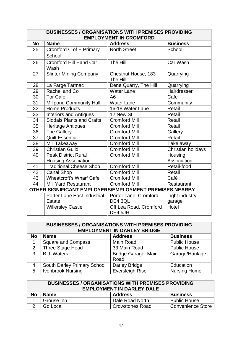|                 | <b>BUSINESSES / ORGANISATIONS WITH PREMISES PROVIDING</b> |                                 |                    |  |
|-----------------|-----------------------------------------------------------|---------------------------------|--------------------|--|
|                 | <b>EMPLOYMENT IN CROMFORD</b>                             |                                 |                    |  |
| <b>No</b>       | <b>Name</b>                                               | <b>Address</b>                  | <b>Business</b>    |  |
| 25              | Cromford C of E Primary                                   | <b>North Street</b>             | School             |  |
|                 | School                                                    |                                 |                    |  |
| 26              | <b>Cromford Hill Hand Car</b><br>Wash                     | The Hill                        | Car Wash           |  |
| 27              | <b>Slinter Mining Company</b>                             | Chestnut House, 183<br>The Hill | Quarrying          |  |
| 28              | La Farge Tarmac                                           | Dene Quarry, The Hill           | Quarrying          |  |
| 29              | Rachel and Co                                             | <b>Water Lane</b>               | Hairdresser        |  |
| 30              | <b>Tor Cafe</b>                                           | A <sub>6</sub>                  | Cafe               |  |
| $\overline{31}$ | <b>Millpond Community Hall</b>                            | <b>Water Lane</b>               | Community          |  |
| $\overline{32}$ | <b>Home Products</b>                                      | 16-18 Water Lane                | Retail             |  |
| 33              | <b>Interiors and Antiques</b>                             | 12 New St                       | Retail             |  |
| $\overline{34}$ | <b>Siddals Plants and Crafts</b>                          | <b>Cromford Mill</b>            | Retail             |  |
| $\overline{35}$ | <b>Heritage Antiques</b>                                  | <b>Cromford Mill</b>            | Retail             |  |
| 36              | <b>The Gallery</b>                                        | <b>Cromford Mill</b>            | Gallery            |  |
| $\overline{37}$ | <b>Quilt Essential</b>                                    | <b>Cromford Mill</b>            | Retail             |  |
| 38              | Mill Takeaway                                             | <b>Cromford Mill</b>            | Take away          |  |
| 39              | <b>Christian Guild</b>                                    | <b>Cromford Mill</b>            | Christian holidays |  |
| 40              | <b>Peak District Rural</b>                                | <b>Cromford Mill</b>            | Housing            |  |
|                 | <b>Housing Association</b>                                |                                 | Association        |  |
| 41              | <b>Traditional Cheese Shop</b>                            | <b>Cromford Mill</b>            | Retail-food        |  |
| $\overline{42}$ | Canal Shop                                                | <b>Cromford Mill</b>            | Retail             |  |
| 43              | <b>Wheatcroft's Wharf Cafe</b>                            | <b>Cromford Mill</b>            | Café               |  |
| 44              | <b>Mill Yard Restaurant</b>                               | <b>Cromford Mill</b>            | Restaurant         |  |
|                 | OTHER SIGNIFICANT EMPLOYERS/EMPLOYMENT PREMISES NEARBY    |                                 |                    |  |
|                 | Porter Lane East Industrial                               | Porter Lane, Cromford,          | Light industry,    |  |
|                 | <b>Estate</b>                                             | DE4 3QL                         | garage             |  |
|                 | <b>Willersley Castle</b>                                  | Off Lea Road, Cromford          | Hotel              |  |
|                 |                                                           | DE4 5JH                         |                    |  |

|              | <b>BUSINESSES / ORGANISATIONS WITH PREMISES PROVIDING</b> |                        |                     |  |
|--------------|-----------------------------------------------------------|------------------------|---------------------|--|
|              | <b>EMPLOYMENT IN DARLEY BRIDGE</b>                        |                        |                     |  |
| <b>No</b>    | <b>Name</b>                                               | <b>Address</b>         | <b>Business</b>     |  |
|              | <b>Square and Compass</b>                                 | Main Road              | <b>Public House</b> |  |
| 2            | Three Stage Head                                          | 33 Main Road           | <b>Public House</b> |  |
| $\mathbf{3}$ | <b>B.J. Waters</b>                                        | Bridge Garage, Main    | Garage/Haulage      |  |
|              |                                                           | Road                   |                     |  |
| 4            | South Darley Primary School                               | <b>Darley Bridge</b>   | Education           |  |
| 5            | Ivonbrook Nursing                                         | <b>Eversleigh Rise</b> | <b>Nursing Home</b> |  |

| <b>BUSINESSES / ORGANISATIONS WITH PREMISES PROVIDING</b><br><b>EMPLOYMENT IN DARLEY DALE</b> |            |                        |                          |  |
|-----------------------------------------------------------------------------------------------|------------|------------------------|--------------------------|--|
| <b>No</b><br><b>Business</b><br><b>Address</b><br><b>Name</b>                                 |            |                        |                          |  |
|                                                                                               | Grouse Inn | Dale Road North        | <b>Public House</b>      |  |
|                                                                                               | Go Local   | <b>Crowstones Road</b> | <b>Convenience Store</b> |  |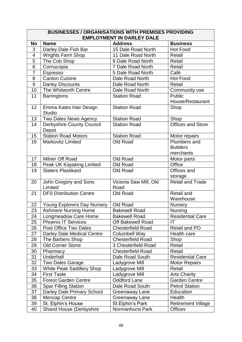| <b>BUSINESSES / ORGANISATIONS WITH PREMISES PROVIDING</b> |                                           |                          |                           |  |  |
|-----------------------------------------------------------|-------------------------------------------|--------------------------|---------------------------|--|--|
|                                                           | <b>EMPLOYMENT IN DARLEY DALE</b>          |                          |                           |  |  |
| <b>No</b>                                                 | <b>Name</b>                               | <b>Address</b>           | <b>Business</b>           |  |  |
| 3                                                         | Darley Dale Fish Bar                      | 15 Dale Road North       | <b>Hot Food</b>           |  |  |
| $\overline{\mathcal{A}}$                                  | <b>Wrights Farm Shop</b>                  | 11 Dale Road North       | Retail                    |  |  |
| $\overline{5}$                                            | The Cob Shop                              | 9 Dale Road North        | Retail                    |  |  |
| 6                                                         | Cornucopia                                | 7 Dale Road North        | Retail                    |  |  |
| $\overline{7}$                                            | Espresso                                  | 5 Dale Road North        | Café                      |  |  |
| 8                                                         | Canton Cuisine                            | Dale Road North          | <b>Hot Food</b>           |  |  |
| 9                                                         | <b>Darley Discounts</b>                   | Dale Road North          | Retail                    |  |  |
| 10                                                        | The Whitworth Centre                      | Dale Road North          | Community use             |  |  |
| 11                                                        | <b>Barringtons</b>                        | <b>Station Road</b>      | Public                    |  |  |
|                                                           |                                           |                          | House/Restaurant          |  |  |
| 12                                                        | Emma Kates Hair Design<br><b>Studio</b>   | <b>Station Road</b>      | Shop                      |  |  |
| 13                                                        | Two Dales News Agency                     | <b>Station Road</b>      | Shop                      |  |  |
| 14                                                        | <b>Derbyshire County Council</b><br>Depot | <b>Station Road</b>      | <b>Offices and Store</b>  |  |  |
| 15                                                        | <b>Station Road Motors</b>                | <b>Station Road</b>      | Motor repairs             |  |  |
| 16                                                        | <b>Markovitz Limited</b>                  | Old Road                 | Plumbers and              |  |  |
|                                                           |                                           |                          | <b>Builders</b>           |  |  |
|                                                           |                                           |                          | merchants                 |  |  |
| 17                                                        | Milner Off Road                           | Old Road                 | Motor parts               |  |  |
| 18                                                        | <b>Peak UK Kayaking Limited</b>           | Old Road                 | Office                    |  |  |
| 19                                                        | <b>Slaters Plastikard</b>                 | Old Road                 | Offices and               |  |  |
|                                                           |                                           |                          | storage                   |  |  |
| 20                                                        | John Gregory and Sons                     | Victoria Saw Mill, Old   | <b>Retail and Trade</b>   |  |  |
|                                                           | Limited                                   | Road                     |                           |  |  |
| 21                                                        | <b>DFS Distribution Centre</b>            | Old Road                 | <b>Retail and</b>         |  |  |
|                                                           |                                           |                          | Warehouse                 |  |  |
| 22                                                        | Young Explorers Day Nursery               | Old Road                 | <b>Nursery</b>            |  |  |
| 23                                                        | <b>Ashmere Nursing Home</b>               | <b>Bakewell Road</b>     | Nursing                   |  |  |
| 24                                                        | Longmeadow Care Home                      | <b>Bakewell Road</b>     | <b>Residential Care</b>   |  |  |
| 25                                                        | <b>Phoenix IT Services</b>                | <b>Off Bakewell Road</b> | IT                        |  |  |
| 26                                                        | Post Office Two Dales                     | <b>Chesterfield Road</b> | Retail and PO             |  |  |
| 27                                                        | Darley Dale Medical Centre                | Columbell Way            | Health care               |  |  |
| 28                                                        | The Barbers Shop                          | <b>Chesterfield Road</b> | Shop                      |  |  |
| 29                                                        | <b>Old Corner Stone</b>                   | 3 Chesterfield Road      | Retail                    |  |  |
| 30                                                        | Pharmacy                                  | <b>Chesterfield Road</b> | Retail                    |  |  |
| 31                                                        | Underhall                                 | Dale Road South          | <b>Residential Care</b>   |  |  |
| 32                                                        | <b>Two Dales Garage</b>                   | Ladygrove Mill           | <b>Motor Repairs</b>      |  |  |
| 33                                                        | White Peak Saddlery Shop                  | Ladygrove Mill           | Retail                    |  |  |
| 34                                                        | <b>First Taste</b>                        | Ladygrove Mill           | <b>Arts Charity</b>       |  |  |
| 35                                                        | <b>Forest Garden Centre</b>               | <b>Oddford Lane</b>      | <b>Garden Centre</b>      |  |  |
| 36                                                        | <b>Spar Filling Station</b>               | Dale Road South          | <b>Petrol Station</b>     |  |  |
| 37                                                        | Darley Dale Primary School                | Greenaway Lane           | Education                 |  |  |
| 38                                                        | <b>Mencap Centre</b>                      | Greenaway Lane           | Health                    |  |  |
| 39                                                        | St. Elphin's House                        | St. Elphin's Park        | <b>Retirement Village</b> |  |  |
| 40                                                        | <b>Shand House (Derbyshire</b>            | Normanhurst Park         | <b>Offices</b>            |  |  |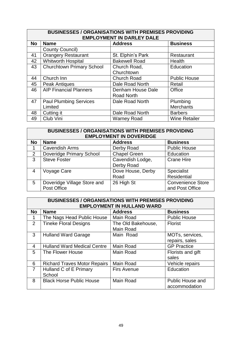| <b>BUSINESSES / ORGANISATIONS WITH PREMISES PROVIDING</b><br><b>EMPLOYMENT IN DARLEY DALE</b> |                                  |                      |                      |
|-----------------------------------------------------------------------------------------------|----------------------------------|----------------------|----------------------|
| <b>No</b>                                                                                     | <b>Name</b>                      | <b>Address</b>       | <b>Business</b>      |
|                                                                                               | County Council)                  |                      |                      |
| 41                                                                                            | <b>Orangery Restaurant</b>       | St. Elphin's Park    | Restaurant           |
| 42                                                                                            | <b>Whitworth Hospital</b>        | <b>Bakewell Road</b> | Health               |
| 43                                                                                            | <b>Churchtown Primary School</b> | Church Road,         | Education            |
|                                                                                               |                                  | Churchtown           |                      |
| 44                                                                                            | Church Inn                       | <b>Church Road</b>   | <b>Public House</b>  |
| 45                                                                                            | <b>Peak Antiques</b>             | Dale Road North      | Retail               |
| 46                                                                                            | <b>AIP Financial Planners</b>    | Denham House Dale    | Office               |
|                                                                                               |                                  | Road North           |                      |
| 47                                                                                            | <b>Paul Plumbing Services</b>    | Dale Road North      | Plumbing             |
|                                                                                               | Limited                          |                      | <b>Merchants</b>     |
| 48                                                                                            | Cutting it                       | Dale Road North      | <b>Barbers</b>       |
| 49                                                                                            | Club Vini                        | <b>Warney Road</b>   | <b>Wine Retailer</b> |

| <b>BUSINESSES / ORGANISATIONS WITH PREMISES PROVIDING</b><br><b>EMPLOYMENT IN DOVERIDGE</b> |                             |                     |                          |
|---------------------------------------------------------------------------------------------|-----------------------------|---------------------|--------------------------|
| <b>No</b>                                                                                   | <b>Name</b>                 | <b>Address</b>      | <b>Business</b>          |
| 1                                                                                           | <b>Cavendish Arms</b>       | Derby Road          | <b>Public House</b>      |
| 2                                                                                           | Doveridge Primary School    | <b>Chapel Green</b> | Education                |
| 3                                                                                           | <b>Steve Foster</b>         | Cavendish Lodge,    | <b>Crane Hire</b>        |
|                                                                                             |                             | Derby Road          |                          |
| 4                                                                                           | Voyage Care                 | Dove House, Derby   | Specialist               |
|                                                                                             |                             | Road                | Residential              |
| 5                                                                                           | Doveridge Village Store and | 26 High St          | <b>Convenience Store</b> |
|                                                                                             | Post Office                 |                     | and Post Office          |

|                | <b>BUSINESSES / ORGANISATIONS WITH PREMISES PROVIDING</b> |                                        |                                          |  |
|----------------|-----------------------------------------------------------|----------------------------------------|------------------------------------------|--|
|                |                                                           | <b>EMPLOYMENT IN HULLAND WARD</b>      |                                          |  |
| <b>No</b>      | <b>Name</b>                                               | <b>Address</b>                         | <b>Business</b>                          |  |
| 1              | The Nags Head Public House                                | <b>Main Road</b>                       | <b>Public House</b>                      |  |
| $\overline{2}$ | <b>Tineke Floral Designs</b>                              | The Old Bakehouse,<br><b>Main Road</b> | <b>Florist</b>                           |  |
| 3              | <b>Hulland Ward Garage</b>                                | Main Road                              | MOTs, services,<br>repairs, sales        |  |
| 4              | <b>Hulland Ward Medical Centre</b>                        | Main Road                              | <b>GP Practice</b>                       |  |
| 5              | The Flower House                                          | <b>Main Road</b>                       | Florists and gift<br>sales               |  |
| 6              | <b>Richard Traves Motor Repairs</b>                       | Main Road                              | Vehicle repairs                          |  |
| $\overline{7}$ | Hulland C of E Primary<br>School                          | <b>Firs Avenue</b>                     | Education                                |  |
| 8              | <b>Black Horse Public House</b>                           | <b>Main Road</b>                       | <b>Public House and</b><br>accommodation |  |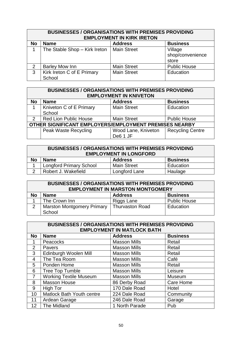| <b>BUSINESSES / ORGANISATIONS WITH PREMISES PROVIDING</b><br><b>EMPLOYMENT IN KIRK IRETON</b> |                                      |                    |                                      |
|-----------------------------------------------------------------------------------------------|--------------------------------------|--------------------|--------------------------------------|
| <b>No</b>                                                                                     | <b>Name</b>                          | <b>Address</b>     | <b>Business</b>                      |
|                                                                                               | The Stable Shop - Kirk Ireton        | <b>Main Street</b> | Village<br>shop/convenience<br>store |
| 2                                                                                             | <b>Barley Mow Inn</b>                | <b>Main Street</b> | <b>Public House</b>                  |
| 3                                                                                             | Kirk Ireton C of E Primary<br>School | <b>Main Street</b> | Education                            |

| <b>BUSINESSES / ORGANISATIONS WITH PREMISES PROVIDING</b><br><b>EMPLOYMENT IN KNIVETON</b> |                                   |                                 |                         |
|--------------------------------------------------------------------------------------------|-----------------------------------|---------------------------------|-------------------------|
| <b>No</b>                                                                                  | <b>Name</b>                       | <b>Address</b>                  | <b>Business</b>         |
|                                                                                            | Kniveton C of E Primary<br>School | <b>Main Street</b>              | Education               |
| $\mathcal{P}$                                                                              | <b>Red Lion Public House</b>      | <b>Main Street</b>              | <b>Public House</b>     |
| OTHER SIGNIFICANT EMPLOYERS/EMPLOYMENT PREMISES NEARBY                                     |                                   |                                 |                         |
|                                                                                            | Peak Waste Recycling              | Wood Lane, Kniveton<br>De6 1 JF | <b>Recycling Centre</b> |

| <b>BUSINESSES / ORGANISATIONS WITH PREMISES PROVIDING</b><br><b>EMPLOYMENT IN LONGFORD</b> |                                |                    |                 |
|--------------------------------------------------------------------------------------------|--------------------------------|--------------------|-----------------|
| <b>No</b>                                                                                  | <b>Name</b>                    | <b>Address</b>     | <b>Business</b> |
|                                                                                            | <b>Longford Primary School</b> | <b>Main Street</b> | Education       |
| $\overline{2}$                                                                             | Robert J. Wakefield            | Longford Lane      | Haulage         |

| <b>BUSINESSES / ORGANISATIONS WITH PREMISES PROVIDING</b><br><b>EMPLOYMENT IN MARSTON MONTGOMERY</b> |                                                  |                        |                     |  |
|------------------------------------------------------------------------------------------------------|--------------------------------------------------|------------------------|---------------------|--|
| No                                                                                                   | <b>Business</b><br><b>Address</b><br><b>Name</b> |                        |                     |  |
|                                                                                                      | The Crown Inn                                    | Riggs Lane             | <b>Public House</b> |  |
| 2                                                                                                    | <b>Marston Montgomery Primary</b>                | <b>Thurvaston Road</b> | Education           |  |
|                                                                                                      | School                                           |                        |                     |  |

| <b>BUSINESSES / ORGANISATIONS WITH PREMISES PROVIDING</b><br><b>EMPLOYMENT IN MATLOCK BATH</b> |                                  |                     |                 |
|------------------------------------------------------------------------------------------------|----------------------------------|---------------------|-----------------|
| <b>No</b>                                                                                      | <b>Name</b>                      | <b>Address</b>      | <b>Business</b> |
|                                                                                                | <b>Peacocks</b>                  | <b>Masson Mills</b> | Retail          |
| $\overline{2}$                                                                                 | <b>Pavers</b>                    | <b>Masson Mills</b> | Retail          |
| 3 <sup>1</sup>                                                                                 | Edinburgh Woolen Mill            | <b>Masson Mills</b> | Retail          |
| $\overline{4}$                                                                                 | The Tea Room                     | <b>Masson Mills</b> | Café            |
| 5                                                                                              | Ponden Home                      | <b>Masson Mills</b> | Retail          |
| 6                                                                                              | <b>Tree Top Tumble</b>           | <b>Masson Mills</b> | Leisure         |
| $\overline{7}$                                                                                 | <b>Working Textile Museum</b>    | <b>Masson Mills</b> | Museum          |
| 8                                                                                              | <b>Masson House</b>              | 86 Derby Road       | Care Home       |
| 9                                                                                              | High Tor                         | 170 Dale Road       | Hotel           |
| 10 <sup>°</sup>                                                                                | <b>Matlock Bath Youth centre</b> | 224 Dale Road       | Community       |
| 11                                                                                             | Ardean Garage                    | 246 Dale Road       | Garage          |
| 12 <sup>2</sup>                                                                                | The Midland                      | 1 North Parade      | Pub             |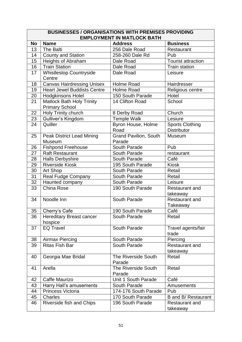|                 | <b>BUSINESSES / ORGANISATIONS WITH PREMISES PROVIDING</b><br><b>EMPLOYMENT IN MATLOCK BATH</b> |                                        |                                              |  |
|-----------------|------------------------------------------------------------------------------------------------|----------------------------------------|----------------------------------------------|--|
| <b>No</b>       | <b>Name</b>                                                                                    | <b>Address</b>                         | <b>Business</b>                              |  |
| 13              | The Balti                                                                                      | 256 Dale Road                          | Restaurant                                   |  |
| 14              | <b>County and Station</b>                                                                      | 258-260 Dale Rd                        | Pub                                          |  |
| 15              | Heights of Abraham                                                                             | Dale Road                              | <b>Tourist attraction</b>                    |  |
| 16              | <b>Train Station</b>                                                                           | Dale Road                              | Train station                                |  |
| 17              | <b>Whistlestop Countryside</b>                                                                 | Dale Road                              | Leisure                                      |  |
|                 | Centre                                                                                         |                                        |                                              |  |
| 18              | <b>Canvas Hairdressing Unisex</b>                                                              | Holme Road                             | Hairdresser                                  |  |
| 19              | <b>Heart Jewel Buddists Centre</b>                                                             | <b>Holme Road</b>                      | Religious centre                             |  |
| 20              | <b>Hodgkinsons Hotel</b>                                                                       | 150 South Parade                       | Hotel                                        |  |
| $\overline{2}1$ | <b>Matlock Bath Holy Trinity</b><br><b>Primary School</b>                                      | 14 Clifton Road                        | School                                       |  |
| 22              | Holy Trinity church                                                                            | 8 Derby Road                           | Church                                       |  |
| $\overline{23}$ | Gulliver's Kingdom                                                                             | <b>Temple Walk</b>                     | Lesiure                                      |  |
| 24              | Quiller                                                                                        | Byron House, Holme<br>Road             | <b>Sports Clothing</b><br><b>Distributor</b> |  |
| 25              | <b>Peak District Lead Mining</b><br>Museum                                                     | <b>Grand Pavilion, South</b><br>Parade | Museum                                       |  |
| 26              | <b>Fishpond Freehouse</b>                                                                      | South Parade                           | Pub                                          |  |
| $\overline{27}$ | <b>Raft Restaurant</b>                                                                         | South Parade                           | restaurant                                   |  |
| 28              | <b>Halls Derbyshire</b>                                                                        | South Parade                           | Café                                         |  |
| 29              | <b>Riverside Kiosk</b>                                                                         | 195 South Parade                       | <b>Kiosk</b>                                 |  |
| 30              | Art Shop                                                                                       | South Parade                           | Retail                                       |  |
| 31              | <b>Real Fudge Company</b>                                                                      | South Parade                           | Retail                                       |  |
| 32              | Haunted company                                                                                | South Parade                           | Leisure                                      |  |
| 33              | China Rose                                                                                     | 190 South Parade                       | Restaurant and<br>takeaway                   |  |
| 34              | Noodle Inn                                                                                     | South Parade                           | <b>Restaurant and</b><br>Takeaway            |  |
| 35              | Cherry's Cafe                                                                                  | 190 South Parade                       | Café                                         |  |
| 36              | <b>Hereditary Breast cancer</b><br>hospice                                                     | South Parade                           | Retail                                       |  |
| 37              | <b>EQ Travel</b>                                                                               | South Parade                           | Travel agents/fair<br>trade                  |  |
| 38              | Airmax Piercing                                                                                | South Parade                           | Piercing                                     |  |
| 39              | <b>Ritas Fish Bar</b>                                                                          | South Parade                           | <b>Restaurant and</b><br>takeaway            |  |
| 40              | Georgia Mae Bridal                                                                             | <b>The Riverside South</b><br>Parade   | Retail                                       |  |
| 41              | Arella                                                                                         | <b>The Riverside South</b><br>Parade   | Retail                                       |  |
| 42              | Caffe Maurizo                                                                                  | Unit 1 South Parade                    | Café                                         |  |
| 43              | Harry Hall's amusements                                                                        | South Parade                           | Amusements                                   |  |
| 44              | Princess Victoria                                                                              | 174-176 South Parade                   | Pub                                          |  |
| 45              | <b>Charles</b>                                                                                 | 170 South Parade                       | B and B/ Restaurant                          |  |
| 46              | Riverside fish and Chips                                                                       | 196 South Parade                       | Restaurant and<br>takeaway                   |  |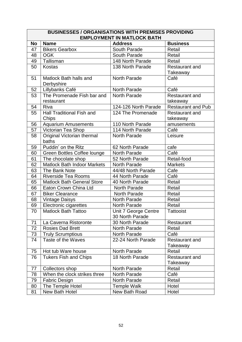|           | <b>BUSINESSES / ORGANISATIONS WITH PREMISES PROVIDING</b> |                                         |                                   |  |  |
|-----------|-----------------------------------------------------------|-----------------------------------------|-----------------------------------|--|--|
|           | <b>EMPLOYMENT IN MATLOCK BATH</b>                         |                                         |                                   |  |  |
| <b>No</b> | <b>Name</b>                                               | <b>Address</b>                          | <b>Business</b>                   |  |  |
| 47        | <b>Bikers Gearbox</b>                                     | South Parade                            | Retail                            |  |  |
| 48        | <b>OGK</b>                                                | South Parade                            | Retail                            |  |  |
| 49        | Tallisman                                                 | 148 North Parade                        | Retail                            |  |  |
| 50        | Kostas                                                    | 138 North Parade                        | <b>Restaurant and</b><br>Takeaway |  |  |
| 51        | Matlock Bath halls and<br>Derbyshire                      | North Parade                            | Café                              |  |  |
| 52        | Lillybanks Café                                           | North Parade                            | Café                              |  |  |
| 53        | The Promenade Fish bar and<br>restaurant                  | North Parade                            | <b>Restaurant and</b><br>takeaway |  |  |
| 54        | <b>Riva</b>                                               | 124-126 North Parade                    | <b>Restaurant and Pub</b>         |  |  |
| 55        | <b>Hall Traditional Fish and</b><br>Chips                 | 124 The Promenade                       | Restaurant and<br>takeaway        |  |  |
| 56        | <b>Aquarium Amusements</b>                                | 110 North Parade                        | amusements                        |  |  |
| 57        | Victorian Tea Shop                                        | 114 North Parade                        | Café                              |  |  |
| 58        | Original Victorian thermal<br>baths                       | North Parade                            | Leisure                           |  |  |
| 59        | Puddin' on the Ritz                                       | 62 North Parade                         | cafe                              |  |  |
| 60        | Green Bottles Coffee lounge                               | North Parade                            | Café                              |  |  |
| 61        | The chocolate shop                                        | 52 North Parade                         | Retail-food                       |  |  |
| 62        | Matlock Bath Indoor Markets                               | North Parade                            | <b>Markets</b>                    |  |  |
| 63        | The Bank Note                                             | 44/48 North Parade                      | Cafe                              |  |  |
| 64        | <b>Riverside Tea Rooms</b>                                | 44 North Parade                         | Café                              |  |  |
| 65        | <b>Matlock Bath General Store</b>                         | 40 North Parade                         | Retail                            |  |  |
| 66        | Eaton Crown China Ltd                                     | North Parade                            | Retail                            |  |  |
| 67        | <b>Biker Clearance</b>                                    | North Parade                            | Retail                            |  |  |
| 68        | <b>Vintage Daisys</b>                                     | North Parade                            | Retail                            |  |  |
| 69        | <b>Electronic cigarettes</b>                              | <b>North Parade</b>                     | Retail                            |  |  |
| 70        | <b>Matlock Bath Tattoo</b>                                | Unit 7 George Centre<br>30 North Parade | <b>Tattooist</b>                  |  |  |
| 71        | La Caverna Ristoronte                                     | 30 North Parade                         | Restaurant                        |  |  |
| 72        | <b>Rosies Dad Brett</b>                                   | North Parade                            | Retail                            |  |  |
| 73        | <b>Truly Scrumptious</b>                                  | <b>North Parade</b>                     | Café                              |  |  |
| 74        | Taste of the Waves                                        | 22-24 North Parade                      | <b>Restaurant and</b><br>Takeaway |  |  |
| 75        | Hot tub Ware house                                        | North Parade                            | Retail                            |  |  |
| 76        | <b>Tukers Fish and Chips</b>                              | 18 North Parade                         | <b>Restaurant and</b><br>Takeaway |  |  |
| 77        | Collectors shop                                           | North Parade                            | Retail                            |  |  |
| 78        | When the clock strikes three                              | North Parade                            | Café                              |  |  |
| 79        | <b>Fabric Design</b>                                      | North Parade                            | Retail                            |  |  |
| 80        | The Temple Hotel                                          | <b>Temple Walk</b>                      | Hotel                             |  |  |
| 81        | New Bath Hotel                                            | New Bath Road                           | Hotel                             |  |  |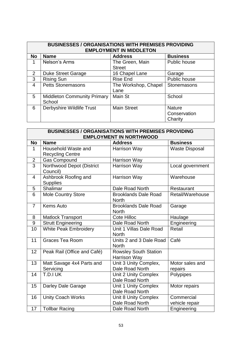| <b>BUSINESSES / ORGANISATIONS WITH PREMISES PROVIDING</b><br><b>EMPLOYMENT IN MIDDLETON</b> |                                              |                                  |                                          |
|---------------------------------------------------------------------------------------------|----------------------------------------------|----------------------------------|------------------------------------------|
| <b>No</b>                                                                                   | <b>Name</b>                                  | <b>Address</b>                   | <b>Business</b>                          |
| 1                                                                                           | Nelson's Arms                                | The Green, Main<br><b>Street</b> | Public house                             |
| 2                                                                                           | <b>Duke Street Garage</b>                    | 16 Chapel Lane                   | Garage                                   |
| 3                                                                                           | <b>Rising Sun</b>                            | <b>Rise End</b>                  | Public house                             |
| 4                                                                                           | <b>Petts Stonemasons</b>                     | The Workshop, Chapel<br>Lane     | Stonemasons                              |
| 5                                                                                           | <b>Middleton Community Primary</b><br>School | Main St                          | School                                   |
| 6                                                                                           | Derbyshire Wildlife Trust                    | <b>Main Street</b>               | <b>Nature</b><br>Conservation<br>Charity |

|                | <b>BUSINESSES / ORGANISATIONS WITH PREMISES PROVIDING</b> |                                |                       |  |
|----------------|-----------------------------------------------------------|--------------------------------|-----------------------|--|
|                |                                                           | <b>EMPLOYMENT IN NORTHWOOD</b> |                       |  |
| <b>No</b>      | <b>Name</b>                                               | <b>Address</b>                 | <b>Business</b>       |  |
| 1              | Household Waste and                                       | Harrison Way                   | <b>Waste Disposal</b> |  |
|                | <b>Recycling Centre</b>                                   |                                |                       |  |
| $\mathbf 2$    | <b>Gas Compound</b>                                       | Harrison Way                   |                       |  |
| $\overline{3}$ | Northwood Depot (District                                 | Harrison Way                   | Local government      |  |
|                | Council)                                                  |                                |                       |  |
| 4              | Ashbrook Roofing and                                      | Harrison Way                   | Warehouse             |  |
|                | <b>Supplies</b>                                           |                                |                       |  |
| 5              | Shalimar                                                  | Dale Road North                | Restaurant            |  |
| 6              | <b>Mole Country Store</b>                                 | <b>Brooklands Dale Road</b>    | Retail/Warehouse      |  |
|                |                                                           | <b>North</b>                   |                       |  |
| $\overline{7}$ | <b>Kems Auto</b>                                          | <b>Brooklands Dale Road</b>    | Garage                |  |
|                |                                                           | <b>North</b>                   |                       |  |
| 8              | <b>Matlock Transport</b>                                  | <b>Cote Hilloc</b>             | Haulage               |  |
| 9              | <b>Strutt Engineering</b>                                 | Dale Road North                | Engineering           |  |
| 10             | <b>White Peak Embroidery</b>                              | Unit 1 Villas Dale Road        | Retail                |  |
|                |                                                           | <b>North</b>                   |                       |  |
| 11             | <b>Graces Tea Room</b>                                    | Units 2 and 3 Dale Road        | Café                  |  |
|                |                                                           | <b>North</b>                   |                       |  |
| 12             | Peak Rail (Office and Café)                               | <b>Rowsley South Station</b>   |                       |  |
|                |                                                           | Harrison Way                   |                       |  |
| 13             | Matt Savage 4x4 Parts and                                 | Unit 3 Unity Complex,          | Motor sales and       |  |
|                | Servicing                                                 | Dale Road North                | repairs               |  |
| 14             | T.D.I UK                                                  | Unit 2 Unity Complex           | Polypipes             |  |
|                |                                                           | Dale Road North                |                       |  |
| 15             | <b>Darley Dale Garage</b>                                 | Unit 1 Unity Complex           | Motor repairs         |  |
|                |                                                           | Dale Road North                |                       |  |
| 16             | <b>Unity Coach Works</b>                                  | Unit 8 Unity Complex           | Commercial            |  |
|                |                                                           | Dale Road North                | vehicle repair        |  |
| 17             | <b>Tollbar Racing</b>                                     | Dale Road North                | Engineering           |  |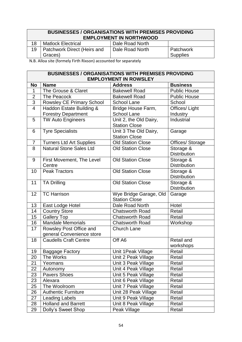# **BUSINESSES / ORGANISATIONS WITH PREMISES PROVIDING EMPLOYMENT IN NORTHWOOD** 18 | Matlock Electrical | Dale Road North

| 18 | Matiock Electrical                     | Dale Road North |                       |
|----|----------------------------------------|-----------------|-----------------------|
|    | Patchwork Direct (Heirs and<br>Graces) | Dale Road North | Patchwork<br>Supplies |

N.B. Alloa site (formely Firth Rixson) accounted for separately

|                | <b>BUSINESSES / ORGANISATIONS WITH PREMISES PROVIDING</b><br><b>EMPLOYMENT IN ROWSLEY</b> |                                                |                                  |  |
|----------------|-------------------------------------------------------------------------------------------|------------------------------------------------|----------------------------------|--|
| <b>No</b>      | <b>Name</b>                                                                               | <b>Address</b>                                 | <b>Business</b>                  |  |
| 1              | The Grouse & Claret                                                                       | <b>Bakewell Road</b>                           | <b>Public House</b>              |  |
| $\overline{2}$ | The Peacock                                                                               | <b>Bakewell Road</b>                           | <b>Public House</b>              |  |
| $\overline{3}$ | Rowsley CE Primary School                                                                 | <b>School Lane</b>                             | School                           |  |
| $\overline{4}$ | Haddon Estate Building &                                                                  | Bridge House Farm,                             | Offices/ Light                   |  |
|                | <b>Forestry Department</b>                                                                | <b>School Lane</b>                             | Industry                         |  |
| 5              | <b>TW Auto Engineers</b>                                                                  | Unit 2, the Old Dairy,<br><b>Station Close</b> | Industrial                       |  |
| 6              | <b>Tyre Specialists</b>                                                                   | Unit 3 The Old Dairy,<br><b>Station Close</b>  | Garage                           |  |
| 7              | Turners Ltd Art Supplies                                                                  | <b>Old Station Close</b>                       | Offices/ Storage                 |  |
| 8              | Natural Stone Sales Ltd                                                                   | <b>Old Station Close</b>                       | Storage &<br><b>Distribution</b> |  |
| 9              | First Movement, The Level<br>Centre                                                       | <b>Old Station Close</b>                       | Storage &<br><b>Distribution</b> |  |
| 10             | <b>Peak Tractors</b>                                                                      | <b>Old Station Close</b>                       | Storage &<br><b>Distribution</b> |  |
| 11             | <b>TA Drilling</b>                                                                        | <b>Old Station Close</b>                       | Storage &<br><b>Distribution</b> |  |
| 12             | <b>TC Harrison</b>                                                                        | Wye Bridge Garage, Old<br><b>Station Close</b> | Garage                           |  |
| 13             | East Lodge Hotel                                                                          | Dale Road North                                | Hotel                            |  |
| 14             | <b>Country Store</b>                                                                      | <b>Chatsworth Road</b>                         | Retail                           |  |
| 15             | <b>Gallery Top</b>                                                                        | <b>Chatsworth Road</b>                         | Retail                           |  |
| 16             | <b>Mandale Memorials</b>                                                                  | <b>Chatsworth Road</b>                         | Workshop                         |  |
| 17             | Rowsley Post Office and                                                                   | <b>Church Lane</b>                             |                                  |  |
|                | general Convenience store                                                                 |                                                |                                  |  |
| 18             | <b>Caudells Craft Centre</b>                                                              | Off A6                                         | Retail and<br>workshops          |  |
| 19             | <b>Baggage Factory</b>                                                                    | Unit 1 Peak Village                            | Retail                           |  |
| 20             | The Works                                                                                 | Unit 2 Peak Village                            | Retail                           |  |
| 21             | Yeomans                                                                                   | Unit 3 Peak Village                            | Retail                           |  |
| 22             | Autonomy                                                                                  | Unit 4 Peak Village                            | Retail                           |  |
| 23             | <b>Pavers Shoes</b>                                                                       | Unit 5 Peak Village                            | Retail                           |  |
| 23             | Alexara                                                                                   | Unit 6 Peak Village                            | Retail                           |  |
| 25             | The Woolroom                                                                              | Unit 7 Peak Village                            | Retail                           |  |
| 26             | <b>Authentic Furniture</b>                                                                | Unit 28 Peak Village                           | Retail                           |  |
| 27             | <b>Leading Labels</b>                                                                     | Unit 9 Peak Village                            | Retail                           |  |
| 28             | <b>Holland and Barrett</b>                                                                | Unit 8 Peak Village                            | Retail                           |  |
| 29             | Dolly's Sweet Shop                                                                        | Peak Village                                   | Retail                           |  |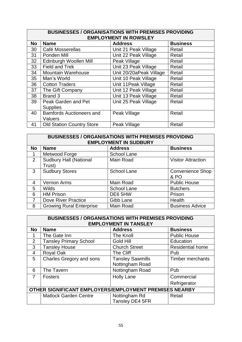|                 | <b>BUSINESSES / ORGANISATIONS WITH PREMISES PROVIDING</b><br><b>EMPLOYMENT IN ROWSLEY</b> |                         |                 |  |  |
|-----------------|-------------------------------------------------------------------------------------------|-------------------------|-----------------|--|--|
| <b>No</b>       | <b>Name</b>                                                                               | <b>Address</b>          | <b>Business</b> |  |  |
| 30              | Café Mosserellas                                                                          | Unit 21 Peak Village    | Retail          |  |  |
| 31              | Ponden Mill                                                                               | Unit 22 Peak Village    | Retail          |  |  |
| 32 <sub>2</sub> | Edinburgh Woollen Mill                                                                    | Peak Village            | Retail          |  |  |
| 33              | Field and Trek                                                                            | Unit 23 Peak Village    | Retail          |  |  |
| 34              | <b>Mountain Warehouse</b>                                                                 | Unit 20/20aPeak Village | Retail          |  |  |
| 35              | Man's World                                                                               | Unit 10 Peak Village    | Retail          |  |  |
| 36              | <b>Cotton Traders</b>                                                                     | Unit 11 Peak Village    | Retail          |  |  |
| 37              | The Gift Company                                                                          | Unit 12 Peak Village    | Retail          |  |  |
| 38              | Brand 3                                                                                   | Unit 13 Peak Village    | Retail          |  |  |
| 39              | Peak Garden and Pet                                                                       | Unit 25 Peak Village    | Retail          |  |  |
|                 | <b>Supplies</b>                                                                           |                         |                 |  |  |
| 40              | <b>Bamfords Auctioneers and</b>                                                           | Peak Village            | Retail          |  |  |
|                 | Valuers                                                                                   |                         |                 |  |  |
| 41              | <b>Old Station Country Store</b>                                                          | Peak Village            | Retail          |  |  |

| <b>BUSINESSES / ORGANISATIONS WITH PREMISES PROVIDING</b><br><b>EMPLOYMENT IN SUDBURY</b> |                                         |                    |                           |  |
|-------------------------------------------------------------------------------------------|-----------------------------------------|--------------------|---------------------------|--|
| <b>No</b>                                                                                 | <b>Name</b>                             | <b>Address</b>     | <b>Business</b>           |  |
|                                                                                           | Metwood Forge                           | <b>School Lane</b> |                           |  |
| $\overline{2}$                                                                            | <b>Sudbury Hall (National</b><br>Trust) | Main Road          | <b>Visitor Attraction</b> |  |
| 3                                                                                         | <b>Sudbury Stores</b>                   | <b>School Lane</b> | Convenience Shop<br>& PO  |  |
| 4                                                                                         | Vernon Arms                             | Main Road          | <b>Public House</b>       |  |
| 5                                                                                         | <b>Wilds</b>                            | <b>School Lane</b> | <b>Butchers</b>           |  |
| 6                                                                                         | <b>HM Prison</b>                        | DE6 5HW            | Prison                    |  |
|                                                                                           | Dove River Practice                     | Gibb Lane          | Health                    |  |
| 8                                                                                         | <b>Growing Rural Enterprise</b>         | Main Road          | <b>Business Advice</b>    |  |

| <b>BUSINESSES / ORGANISATIONS WITH PREMISES PROVIDING</b><br><b>EMPLOYMENT IN TANSLEY</b> |                               |                         |                         |  |
|-------------------------------------------------------------------------------------------|-------------------------------|-------------------------|-------------------------|--|
| <b>No</b>                                                                                 | <b>Name</b>                   | <b>Address</b>          | <b>Business</b>         |  |
|                                                                                           | The Gate Inn                  | The Knoll               | <b>Public House</b>     |  |
| 2                                                                                         | <b>Tansley Primary School</b> | <b>Gold Hill</b>        | Education               |  |
| 3                                                                                         | <b>Tansley House</b>          | <b>Church Street</b>    | <b>Residential home</b> |  |
| $\overline{4}$                                                                            | Royal Oak                     | The Cliff               | Pub                     |  |
| 5                                                                                         | Charles Gregory and sons      | <b>Tansley Sawmills</b> | Timber merchants        |  |
|                                                                                           |                               | Nottingham Road         |                         |  |
| 6                                                                                         | The Tavern                    | Nottingham Road         | Pub                     |  |
| 7                                                                                         | <b>Fosters</b>                | <b>Holly Lane</b>       | Commercial              |  |
|                                                                                           |                               |                         | Refrigerator            |  |
| OTHER SIGNIFICANT EMPLOYERS/EMPLOYMENT PREMISES NEARBY                                    |                               |                         |                         |  |
|                                                                                           | <b>Matlock Garden Centre</b>  | Nottingham Rd           | Retail                  |  |
|                                                                                           |                               | Tansley DE4 5FR         |                         |  |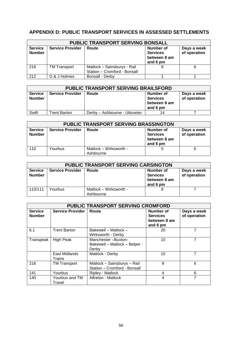# **APPENDIX D: PUBLIC TRANSPORT SERVICES IN ASSESSED SETTLEMENTS**

| <b>PUBLIC TRANSPORT SERVING BONSALL</b> |                         |                                                             |                                                                 |                             |
|-----------------------------------------|-------------------------|-------------------------------------------------------------|-----------------------------------------------------------------|-----------------------------|
| <b>Service</b><br><b>Number</b>         | <b>Service Provider</b> | Route                                                       | <b>Number of</b><br><b>Services</b><br>between 8 am<br>and 6 pm | Days a week<br>of operation |
| 216                                     | <b>TM Transport</b>     | Matlock - Sainsburys - Rail<br>Station - Cromford - Bonsall |                                                                 | 6                           |
| 212                                     | G & J Holmes            | Bonsall - Derby                                             |                                                                 |                             |

| <b>PUBLIC TRANSPORT SERVING BRAILSFORD</b> |                         |                               |                                                          |                             |
|--------------------------------------------|-------------------------|-------------------------------|----------------------------------------------------------|-----------------------------|
| <b>Service</b><br><b>Number</b>            | <b>Service Provider</b> | Route                         | Number of<br><b>Services</b><br>between 8 am<br>and 6 pm | Days a week<br>of operation |
| Swift                                      | <b>Trent Barton</b>     | Derby - Ashbourne - Uttoxeter | 14                                                       |                             |

| PUBLIC TRANSPORT SERVING BRASSINGTON |                         |                                     |                                                                 |                             |
|--------------------------------------|-------------------------|-------------------------------------|-----------------------------------------------------------------|-----------------------------|
| <b>Service</b><br><b>Number</b>      | <b>Service Provider</b> | Route                               | <b>Number of</b><br><b>Services</b><br>between 8 am<br>and 6 pm | Days a week<br>of operation |
| 110                                  | Yourbus                 | Matlock – Wirksworth -<br>Ashbourne |                                                                 | 6                           |

| <b>PUBLIC TRANSPORT SERVING CARSINGTON</b> |                         |                                     |                                                          |                             |
|--------------------------------------------|-------------------------|-------------------------------------|----------------------------------------------------------|-----------------------------|
| <b>Service</b><br><b>Number</b>            | <b>Service Provider</b> | Route                               | Number of<br><b>Services</b><br>between 8 am<br>and 6 pm | Days a week<br>of operation |
| 110/111                                    | Yourbus                 | Matlock – Wirksworth -<br>Ashbourne |                                                          |                             |

| <b>PUBLIC TRANSPORT SERVING CROMFORD</b> |                          |                                                              |                                                          |                             |
|------------------------------------------|--------------------------|--------------------------------------------------------------|----------------------------------------------------------|-----------------------------|
| <b>Service</b><br><b>Number</b>          | <b>Service Provider</b>  | Route                                                        | Number of<br><b>Services</b><br>between 8 am<br>and 6 pm | Days a week<br>of operation |
| 6.1                                      | <b>Trent Barton</b>      | Bakewell - Matlock -<br>Wirksworth - Derby                   | 20                                                       | 7                           |
| Transpeak                                | <b>High Peak</b>         | Manchester-Buxton-<br>Bakewell - Matlock - Belper -<br>Derby | 10                                                       | 7                           |
|                                          | East Midlands<br>Trains  | Matlock - Derby                                              | 10                                                       | 7                           |
| 216                                      | <b>TM Transport</b>      | Matlock - Sainsburys - Rail<br>Station - Cromford - Bonsall  | 8                                                        | 6                           |
| 141                                      | Yourbus                  | Ripley - Matlock                                             | 4                                                        | 6                           |
| 140                                      | Yourbus and TM<br>Travel | Alfreton - Matlock                                           | 4                                                        | 7                           |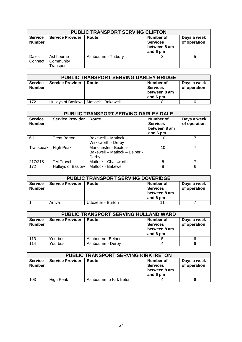| <b>PUBLIC TRANSPORT SERVING CLIFTON</b> |                                     |                     |                                                          |                             |
|-----------------------------------------|-------------------------------------|---------------------|----------------------------------------------------------|-----------------------------|
| <b>Service</b><br><b>Number</b>         | <b>Service Provider</b>             | Route               | Number of<br><b>Services</b><br>between 8 am<br>and 6 pm | Days a week<br>of operation |
| Dales<br>Connect                        | Ashbourne<br>Community<br>Transport | Ashbourne - Tutbury |                                                          | 5                           |

| PUBLIC TRANSPORT SERVING DARLEY BRIDGE |                          |                    |                                                          |                             |
|----------------------------------------|--------------------------|--------------------|----------------------------------------------------------|-----------------------------|
| <b>Service</b><br><b>Number</b>        | <b>Service Provider</b>  | Route              | Number of<br><b>Services</b><br>between 8 am<br>and 6 pm | Days a week<br>of operation |
| 172                                    | <b>Hulleys of Baslow</b> | Matlock - Bakewell |                                                          |                             |

| PUBLIC TRANSPORT SERVING DARLEY DALE |                          |                                                              |                                                                 |                             |
|--------------------------------------|--------------------------|--------------------------------------------------------------|-----------------------------------------------------------------|-----------------------------|
| <b>Service</b><br><b>Number</b>      | <b>Service Provider</b>  | Route                                                        | <b>Number of</b><br><b>Services</b><br>between 8 am<br>and 6 pm | Days a week<br>of operation |
| 6.1                                  | <b>Trent Barton</b>      | Bakewell - Matlock -<br>Wirksworth - Derby                   | 10                                                              |                             |
| Transpeak                            | <b>High Peak</b>         | Manchester-Buxton-<br>Bakewell - Matlock - Belper -<br>Derby | 10                                                              |                             |
| 217/218                              | TM Travel                | Matlock - Chatsworth                                         | 5                                                               |                             |
| 172                                  | <b>Hulleys of Baslow</b> | Matlock - Bakewell                                           | 8                                                               | 6                           |

| <b>PUBLIC TRANSPORT SERVING DOVERIDGE</b> |                         |                    |                                                          |                             |
|-------------------------------------------|-------------------------|--------------------|----------------------------------------------------------|-----------------------------|
| <b>Service</b><br><b>Number</b>           | <b>Service Provider</b> | Route              | Number of<br><b>Services</b><br>between 8 am<br>and 6 pm | Days a week<br>of operation |
|                                           | Arriva                  | Uttoxeter - Burton |                                                          |                             |

| <b>PUBLIC TRANSPORT SERVING HULLAND WARD</b> |                         |                   |                                                          |                             |
|----------------------------------------------|-------------------------|-------------------|----------------------------------------------------------|-----------------------------|
| <b>Service</b><br><b>Number</b>              | <b>Service Provider</b> | Route             | Number of<br><b>Services</b><br>between 8 am<br>and 6 pm | Days a week<br>of operation |
| 113                                          | Yourbus                 | Ashbourne- Belper |                                                          |                             |
| 114                                          | Yourbus                 | Ashbourne - Derby |                                                          |                             |

| <b>PUBLIC TRANSPORT SERVING KIRK IRETON</b> |                         |                          |                                                          |                             |
|---------------------------------------------|-------------------------|--------------------------|----------------------------------------------------------|-----------------------------|
| <b>Service</b><br><b>Number</b>             | <b>Service Provider</b> | Route                    | Number of<br><b>Services</b><br>between 8 am<br>and 6 pm | Days a week<br>of operation |
| 103                                         | High Peak               | Ashbourne to Kirk Ireton |                                                          |                             |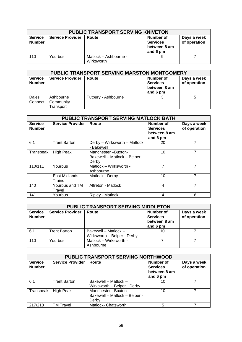| <b>PUBLIC TRANSPORT SERVING KNIVETON</b> |                         |                                     |                                                          |                             |
|------------------------------------------|-------------------------|-------------------------------------|----------------------------------------------------------|-----------------------------|
| <b>Service</b><br><b>Number</b>          | <b>Service Provider</b> | Route                               | Number of<br><b>Services</b><br>between 8 am<br>and 6 pm | Days a week<br>of operation |
| 110                                      | Yourbus                 | Matlock - Ashbourne -<br>Wirksworth |                                                          |                             |

| <b>PUBLIC TRANSPORT SERVING MARSTON MONTGOMERY</b> |                                     |                     |                                                                 |                             |
|----------------------------------------------------|-------------------------------------|---------------------|-----------------------------------------------------------------|-----------------------------|
| <b>Service</b><br><b>Number</b>                    | <b>Service Provider</b>             | Route               | <b>Number of</b><br><b>Services</b><br>between 8 am<br>and 6 pm | Days a week<br>of operation |
| Dales<br>Connect                                   | Ashbourne<br>Community<br>Transport | Tutbury - Ashbourne |                                                                 | 5                           |

|                                 |                          | PUBLIC TRANSPORT SERVING MATLOCK BATH                        |                                                          |                             |
|---------------------------------|--------------------------|--------------------------------------------------------------|----------------------------------------------------------|-----------------------------|
| <b>Service</b><br><b>Number</b> | <b>Service Provider</b>  | Route                                                        | Number of<br><b>Services</b><br>between 8 am<br>and 6 pm | Days a week<br>of operation |
| 6.1                             | <b>Trent Barton</b>      | Derby - Wirksworth - Matlock<br>- Bakewell                   | 20                                                       | 7                           |
| Transpeak                       | <b>High Peak</b>         | Manchester-Buxton-<br>Bakewell - Matlock - Belper -<br>Derby | 10                                                       | 7                           |
| 110/111                         | Yourbus                  | Matlock - Wirksworth -<br>Ashbourne                          | 7                                                        | 7                           |
|                                 | East Midlands<br>Trains  | Matlock - Derby                                              | 10                                                       | 7                           |
| 140                             | Yourbus and TM<br>Travel | Alfreton - Matlock                                           | 4                                                        | 7                           |
| 141                             | Yourbus                  | Ripley - Matlock                                             | 4                                                        | 6                           |

| PUBLIC TRANSPORT SERVING MIDDLETON |                         |                                                     |                                                                 |                             |
|------------------------------------|-------------------------|-----------------------------------------------------|-----------------------------------------------------------------|-----------------------------|
| <b>Service</b><br><b>Number</b>    | <b>Service Provider</b> | Route                                               | <b>Number of</b><br><b>Services</b><br>between 8 am<br>and 6 pm | Days a week<br>of operation |
| 6.1                                | <b>Trent Barton</b>     | Bakewell - Matlock -<br>Wirksworth - Belper - Derby | 10                                                              |                             |
| 110                                | Yourbus                 | Matlock - Wirksworth -<br>Ashbourne                 |                                                                 |                             |

| PUBLIC TRANSPORT SERVING NORTHWOOD |                         |                                                              |                                                                 |                             |
|------------------------------------|-------------------------|--------------------------------------------------------------|-----------------------------------------------------------------|-----------------------------|
| <b>Service</b><br><b>Number</b>    | <b>Service Provider</b> | Route                                                        | <b>Number of</b><br><b>Services</b><br>between 8 am<br>and 6 pm | Days a week<br>of operation |
| 6.1                                | <b>Trent Barton</b>     | Bakewell - Matlock -<br>Wirksworth - Belper - Derby          | 10                                                              |                             |
| Transpeak                          | <b>High Peak</b>        | Manchester-Buxton-<br>Bakewell - Matlock - Belper -<br>Derby | 10                                                              |                             |
| 217/218                            | TM Travel               | Matlock- Chatsworth                                          | 5                                                               |                             |